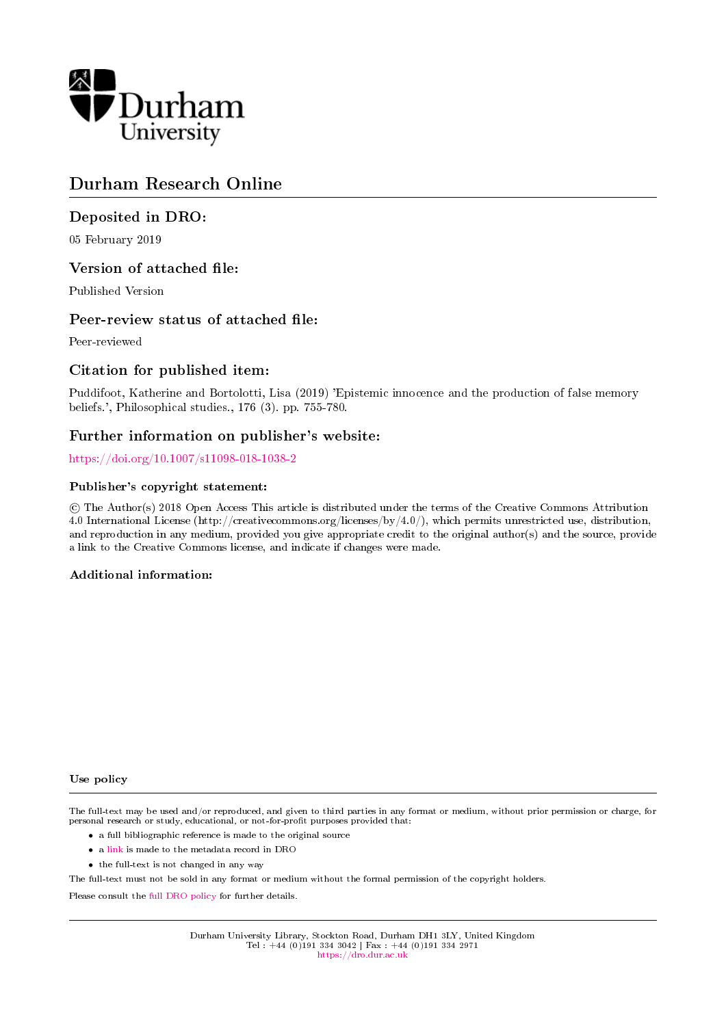

# Durham Research Online

## Deposited in DRO:

05 February 2019

## Version of attached file:

Published Version

## Peer-review status of attached file:

Peer-reviewed

## Citation for published item:

Puddifoot, Katherine and Bortolotti, Lisa (2019) 'Epistemic innocence and the production of false memory beliefs.', Philosophical studies., 176 (3). pp. 755-780.

## Further information on publisher's website:

<https://doi.org/10.1007/s11098-018-1038-2>

## Publisher's copyright statement:

 c The Author(s) 2018 Open Access This article is distributed under the terms of the Creative Commons Attribution 4.0 International License (http://creativecommons.org/licenses/by/4.0/), which permits unrestricted use, distribution, and reproduction in any medium, provided you give appropriate credit to the original author(s) and the source, provide a link to the Creative Commons license, and indicate if changes were made.

## Additional information:

#### Use policy

The full-text may be used and/or reproduced, and given to third parties in any format or medium, without prior permission or charge, for personal research or study, educational, or not-for-profit purposes provided that:

- a full bibliographic reference is made to the original source
- a [link](http://dro.dur.ac.uk/26585/) is made to the metadata record in DRO
- the full-text is not changed in any way

The full-text must not be sold in any format or medium without the formal permission of the copyright holders.

Please consult the [full DRO policy](https://dro.dur.ac.uk/policies/usepolicy.pdf) for further details.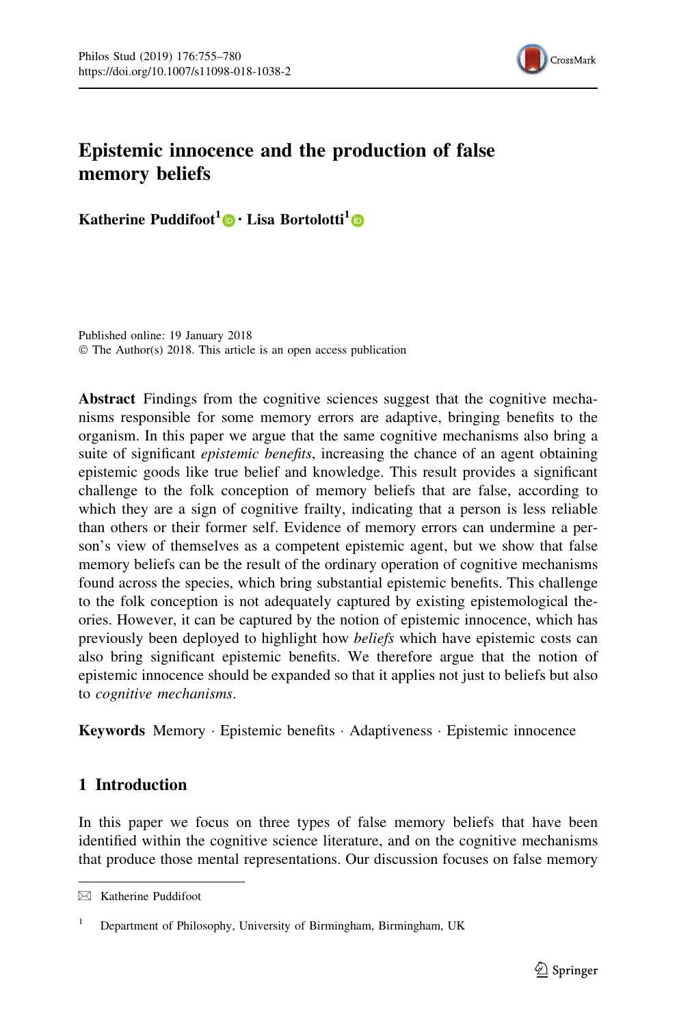

## Epistemic innocence and the production of false memory beliefs

Katherine Puddifoot<sup>1</sup> [•](http://orcid.org/0000-0002-4491-0204) Lisa Bortolotti<sup>1</sup> •

Published online: 19 January 2018 © The Author(s) 2018. This article is an open access publication

Abstract Findings from the cognitive sciences suggest that the cognitive mechanisms responsible for some memory errors are adaptive, bringing benefits to the organism. In this paper we argue that the same cognitive mechanisms also bring a suite of significant epistemic benefits, increasing the chance of an agent obtaining epistemic goods like true belief and knowledge. This result provides a significant challenge to the folk conception of memory beliefs that are false, according to which they are a sign of cognitive frailty, indicating that a person is less reliable than others or their former self. Evidence of memory errors can undermine a person's view of themselves as a competent epistemic agent, but we show that false memory beliefs can be the result of the ordinary operation of cognitive mechanisms found across the species, which bring substantial epistemic benefits. This challenge to the folk conception is not adequately captured by existing epistemological theories. However, it can be captured by the notion of epistemic innocence, which has previously been deployed to highlight how *beliefs* which have epistemic costs can also bring significant epistemic benefits. We therefore argue that the notion of epistemic innocence should be expanded so that it applies not just to beliefs but also to cognitive mechanisms.

Keywords Memory - Epistemic benefits - Adaptiveness - Epistemic innocence

### 1 Introduction

In this paper we focus on three types of false memory beliefs that have been identified within the cognitive science literature, and on the cognitive mechanisms that produce those mental representations. Our discussion focuses on false memory

 $\boxtimes$  Katherine Puddifoot

<sup>1</sup> Department of Philosophy, University of Birmingham, Birmingham, UK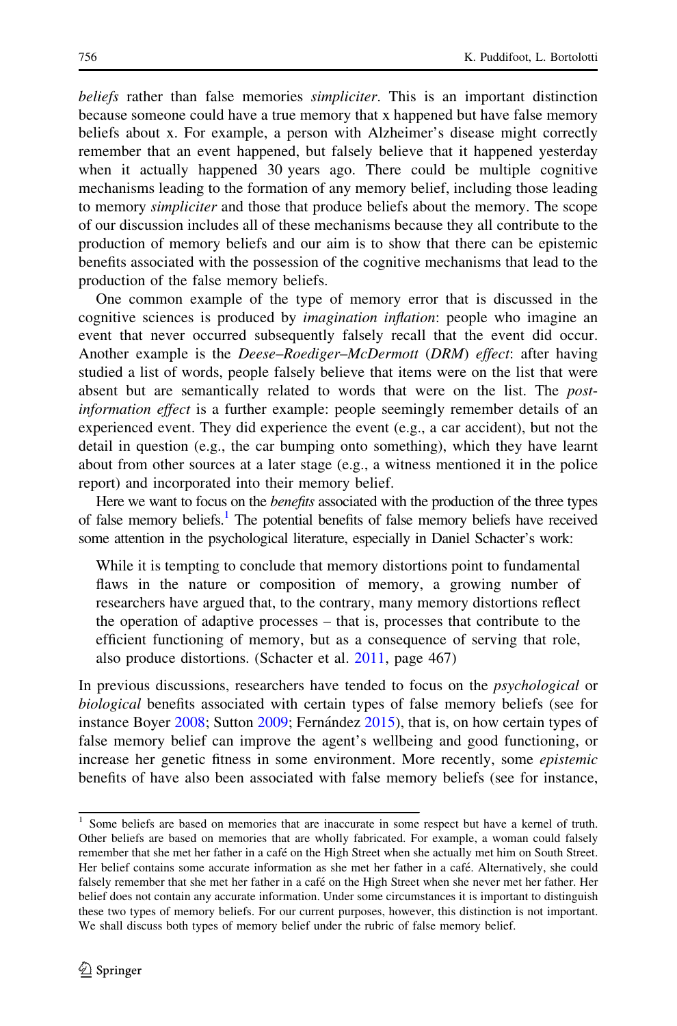beliefs rather than false memories *simpliciter*. This is an important distinction because someone could have a true memory that x happened but have false memory beliefs about x. For example, a person with Alzheimer's disease might correctly remember that an event happened, but falsely believe that it happened yesterday when it actually happened 30 years ago. There could be multiple cognitive mechanisms leading to the formation of any memory belief, including those leading to memory *simpliciter* and those that produce beliefs about the memory. The scope of our discussion includes all of these mechanisms because they all contribute to the production of memory beliefs and our aim is to show that there can be epistemic benefits associated with the possession of the cognitive mechanisms that lead to the production of the false memory beliefs.

One common example of the type of memory error that is discussed in the cognitive sciences is produced by imagination inflation: people who imagine an event that never occurred subsequently falsely recall that the event did occur. Another example is the *Deese–Roediger–McDermott* (*DRM*) effect: after having studied a list of words, people falsely believe that items were on the list that were absent but are semantically related to words that were on the list. The postinformation effect is a further example: people seemingly remember details of an experienced event. They did experience the event (e.g., a car accident), but not the detail in question (e.g., the car bumping onto something), which they have learnt about from other sources at a later stage (e.g., a witness mentioned it in the police report) and incorporated into their memory belief.

Here we want to focus on the *benefits* associated with the production of the three types of false memory beliefs.<sup>1</sup> The potential benefits of false memory beliefs have received some attention in the psychological literature, especially in Daniel Schacter's work:

While it is tempting to conclude that memory distortions point to fundamental flaws in the nature or composition of memory, a growing number of researchers have argued that, to the contrary, many memory distortions reflect the operation of adaptive processes – that is, processes that contribute to the efficient functioning of memory, but as a consequence of serving that role, also produce distortions. (Schacter et al. [2011](#page-26-0), page 467)

In previous discussions, researchers have tended to focus on the psychological or biological benefits associated with certain types of false memory beliefs (see for instance Boyer  $2008$ ; Sutton  $2009$ ; Fernandez  $2015$ ), that is, on how certain types of false memory belief can improve the agent's wellbeing and good functioning, or increase her genetic fitness in some environment. More recently, some *epistemic* benefits of have also been associated with false memory beliefs (see for instance,

 $<sup>1</sup>$  Some beliefs are based on memories that are inaccurate in some respect but have a kernel of truth.</sup> Other beliefs are based on memories that are wholly fabricated. For example, a woman could falsely remember that she met her father in a cafe´ on the High Street when she actually met him on South Street. Her belief contains some accurate information as she met her father in a café. Alternatively, she could falsely remember that she met her father in a café on the High Street when she never met her father. Her belief does not contain any accurate information. Under some circumstances it is important to distinguish these two types of memory beliefs. For our current purposes, however, this distinction is not important. We shall discuss both types of memory belief under the rubric of false memory belief.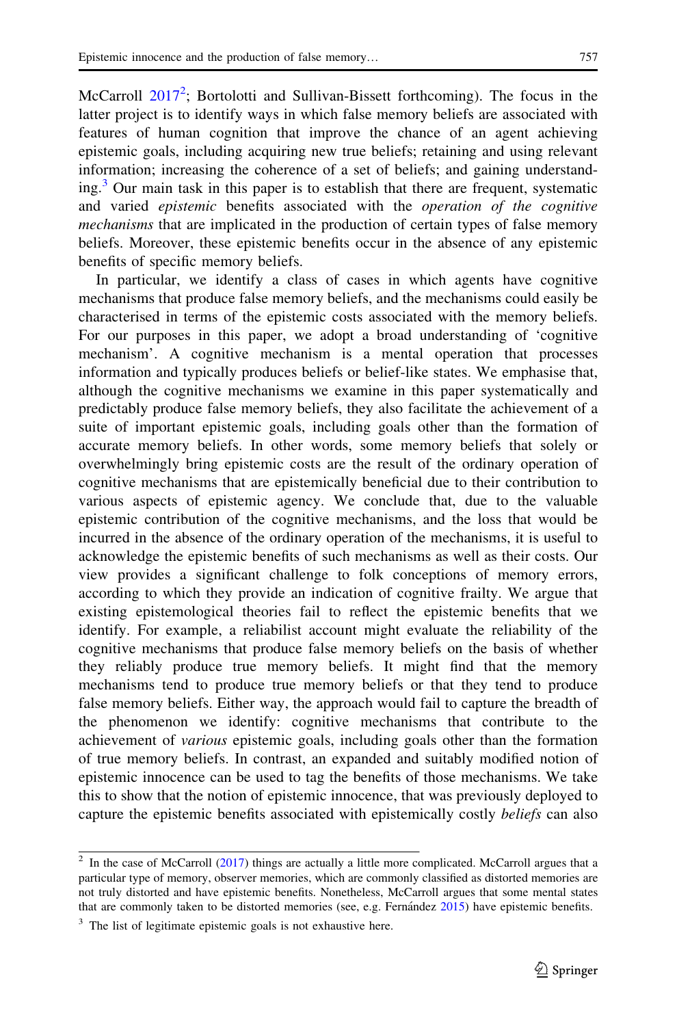McCarroll  $2017^2$  $2017^2$ ; Bortolotti and Sullivan-Bissett forthcoming). The focus in the latter project is to identify ways in which false memory beliefs are associated with features of human cognition that improve the chance of an agent achieving epistemic goals, including acquiring new true beliefs; retaining and using relevant information; increasing the coherence of a set of beliefs; and gaining understand $ing.<sup>3</sup>$  Our main task in this paper is to establish that there are frequent, systematic and varied epistemic benefits associated with the operation of the cognitive mechanisms that are implicated in the production of certain types of false memory beliefs. Moreover, these epistemic benefits occur in the absence of any epistemic benefits of specific memory beliefs.

In particular, we identify a class of cases in which agents have cognitive mechanisms that produce false memory beliefs, and the mechanisms could easily be characterised in terms of the epistemic costs associated with the memory beliefs. For our purposes in this paper, we adopt a broad understanding of 'cognitive mechanism'. A cognitive mechanism is a mental operation that processes information and typically produces beliefs or belief-like states. We emphasise that, although the cognitive mechanisms we examine in this paper systematically and predictably produce false memory beliefs, they also facilitate the achievement of a suite of important epistemic goals, including goals other than the formation of accurate memory beliefs. In other words, some memory beliefs that solely or overwhelmingly bring epistemic costs are the result of the ordinary operation of cognitive mechanisms that are epistemically beneficial due to their contribution to various aspects of epistemic agency. We conclude that, due to the valuable epistemic contribution of the cognitive mechanisms, and the loss that would be incurred in the absence of the ordinary operation of the mechanisms, it is useful to acknowledge the epistemic benefits of such mechanisms as well as their costs. Our view provides a significant challenge to folk conceptions of memory errors, according to which they provide an indication of cognitive frailty. We argue that existing epistemological theories fail to reflect the epistemic benefits that we identify. For example, a reliabilist account might evaluate the reliability of the cognitive mechanisms that produce false memory beliefs on the basis of whether they reliably produce true memory beliefs. It might find that the memory mechanisms tend to produce true memory beliefs or that they tend to produce false memory beliefs. Either way, the approach would fail to capture the breadth of the phenomenon we identify: cognitive mechanisms that contribute to the achievement of various epistemic goals, including goals other than the formation of true memory beliefs. In contrast, an expanded and suitably modified notion of epistemic innocence can be used to tag the benefits of those mechanisms. We take this to show that the notion of epistemic innocence, that was previously deployed to capture the epistemic benefits associated with epistemically costly *beliefs* can also

 $2$  In the case of McCarroll ([2017\)](#page-25-0) things are actually a little more complicated. McCarroll argues that a particular type of memory, observer memories, which are commonly classified as distorted memories are not truly distorted and have epistemic benefits. Nonetheless, McCarroll argues that some mental states that are commonly taken to be distorted memories (see, e.g. Fernandez [2015\)](#page-24-0) have epistemic benefits.

 $3$  The list of legitimate epistemic goals is not exhaustive here.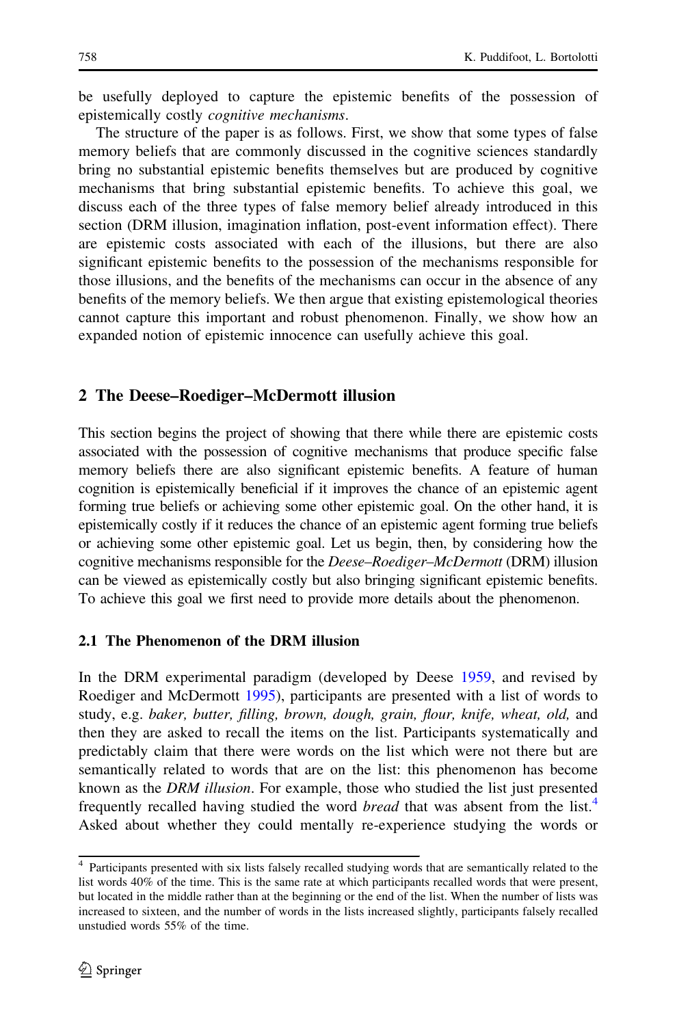<span id="page-4-0"></span>be usefully deployed to capture the epistemic benefits of the possession of epistemically costly cognitive mechanisms.

The structure of the paper is as follows. First, we show that some types of false memory beliefs that are commonly discussed in the cognitive sciences standardly bring no substantial epistemic benefits themselves but are produced by cognitive mechanisms that bring substantial epistemic benefits. To achieve this goal, we discuss each of the three types of false memory belief already introduced in this section (DRM illusion, imagination inflation, post-event information effect). There are epistemic costs associated with each of the illusions, but there are also significant epistemic benefits to the possession of the mechanisms responsible for those illusions, and the benefits of the mechanisms can occur in the absence of any benefits of the memory beliefs. We then argue that existing epistemological theories cannot capture this important and robust phenomenon. Finally, we show how an expanded notion of epistemic innocence can usefully achieve this goal.

#### 2 The Deese–Roediger–McDermott illusion

This section begins the project of showing that there while there are epistemic costs associated with the possession of cognitive mechanisms that produce specific false memory beliefs there are also significant epistemic benefits. A feature of human cognition is epistemically beneficial if it improves the chance of an epistemic agent forming true beliefs or achieving some other epistemic goal. On the other hand, it is epistemically costly if it reduces the chance of an epistemic agent forming true beliefs or achieving some other epistemic goal. Let us begin, then, by considering how the cognitive mechanisms responsible for the Deese–Roediger–McDermott (DRM) illusion can be viewed as epistemically costly but also bringing significant epistemic benefits. To achieve this goal we first need to provide more details about the phenomenon.

#### 2.1 The Phenomenon of the DRM illusion

In the DRM experimental paradigm (developed by Deese [1959](#page-24-0), and revised by Roediger and McDermott [1995](#page-25-0)), participants are presented with a list of words to study, e.g. baker, butter, filling, brown, dough, grain, flour, knife, wheat, old, and then they are asked to recall the items on the list. Participants systematically and predictably claim that there were words on the list which were not there but are semantically related to words that are on the list: this phenomenon has become known as the DRM illusion. For example, those who studied the list just presented frequently recalled having studied the word *bread* that was absent from the list.<sup>4</sup> Asked about whether they could mentally re-experience studying the words or

<sup>&</sup>lt;sup>4</sup> Participants presented with six lists falsely recalled studying words that are semantically related to the list words 40% of the time. This is the same rate at which participants recalled words that were present, but located in the middle rather than at the beginning or the end of the list. When the number of lists was increased to sixteen, and the number of words in the lists increased slightly, participants falsely recalled unstudied words 55% of the time.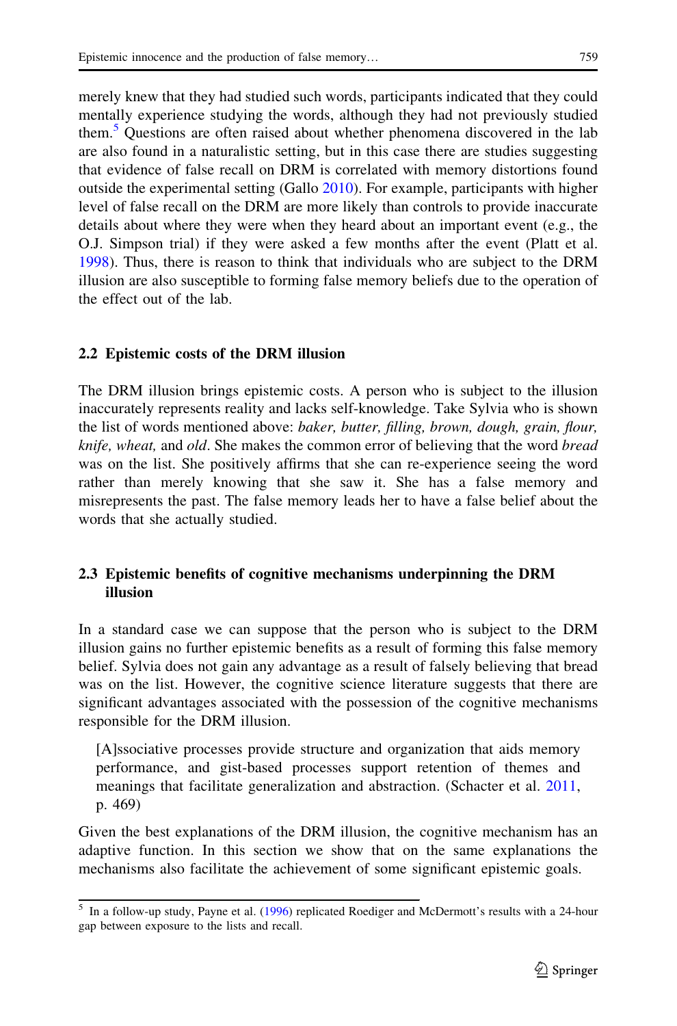<span id="page-5-0"></span>merely knew that they had studied such words, participants indicated that they could mentally experience studying the words, although they had not previously studied them.<sup>5</sup> Questions are often raised about whether phenomena discovered in the lab are also found in a naturalistic setting, but in this case there are studies suggesting that evidence of false recall on DRM is correlated with memory distortions found outside the experimental setting (Gallo [2010](#page-24-0)). For example, participants with higher level of false recall on the DRM are more likely than controls to provide inaccurate details about where they were when they heard about an important event (e.g., the O.J. Simpson trial) if they were asked a few months after the event (Platt et al. [1998\)](#page-25-0). Thus, there is reason to think that individuals who are subject to the DRM illusion are also susceptible to forming false memory beliefs due to the operation of the effect out of the lab.

### 2.2 Epistemic costs of the DRM illusion

The DRM illusion brings epistemic costs. A person who is subject to the illusion inaccurately represents reality and lacks self-knowledge. Take Sylvia who is shown the list of words mentioned above: baker, butter, filling, brown, dough, grain, flour, knife, wheat, and old. She makes the common error of believing that the word bread was on the list. She positively affirms that she can re-experience seeing the word rather than merely knowing that she saw it. She has a false memory and misrepresents the past. The false memory leads her to have a false belief about the words that she actually studied.

### 2.3 Epistemic benefits of cognitive mechanisms underpinning the DRM illusion

In a standard case we can suppose that the person who is subject to the DRM illusion gains no further epistemic benefits as a result of forming this false memory belief. Sylvia does not gain any advantage as a result of falsely believing that bread was on the list. However, the cognitive science literature suggests that there are significant advantages associated with the possession of the cognitive mechanisms responsible for the DRM illusion.

[A]ssociative processes provide structure and organization that aids memory performance, and gist-based processes support retention of themes and meanings that facilitate generalization and abstraction. (Schacter et al. [2011,](#page-26-0) p. 469)

Given the best explanations of the DRM illusion, the cognitive mechanism has an adaptive function. In this section we show that on the same explanations the mechanisms also facilitate the achievement of some significant epistemic goals.

 $\frac{5}{10}$  In a follow-up study, Payne et al. [\(1996](#page-25-0)) replicated Roediger and McDermott's results with a 24-hour gap between exposure to the lists and recall.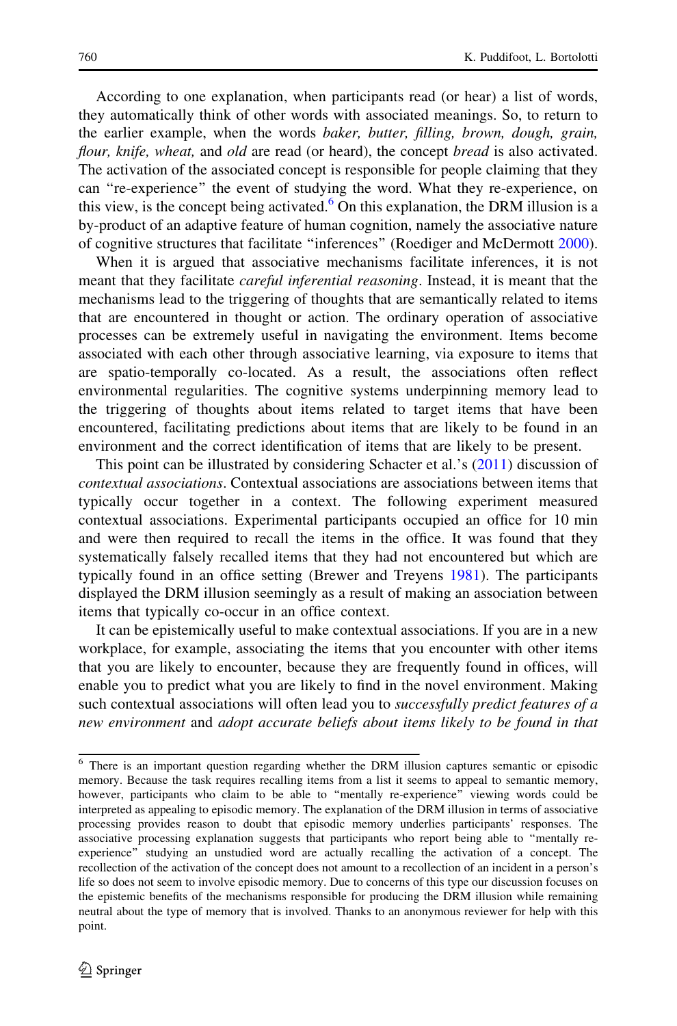According to one explanation, when participants read (or hear) a list of words, they automatically think of other words with associated meanings. So, to return to the earlier example, when the words baker, butter, filling, brown, dough, grain, flour, knife, wheat, and old are read (or heard), the concept bread is also activated. The activation of the associated concept is responsible for people claiming that they can ''re-experience'' the event of studying the word. What they re-experience, on this view, is the concept being activated.<sup>6</sup> On this explanation, the DRM illusion is a by-product of an adaptive feature of human cognition, namely the associative nature of cognitive structures that facilitate ''inferences'' (Roediger and McDermott [2000\)](#page-25-0).

When it is argued that associative mechanisms facilitate inferences, it is not meant that they facilitate *careful inferential reasoning*. Instead, it is meant that the mechanisms lead to the triggering of thoughts that are semantically related to items that are encountered in thought or action. The ordinary operation of associative processes can be extremely useful in navigating the environment. Items become associated with each other through associative learning, via exposure to items that are spatio-temporally co-located. As a result, the associations often reflect environmental regularities. The cognitive systems underpinning memory lead to the triggering of thoughts about items related to target items that have been encountered, facilitating predictions about items that are likely to be found in an environment and the correct identification of items that are likely to be present.

This point can be illustrated by considering Schacter et al.'s ([2011\)](#page-26-0) discussion of contextual associations. Contextual associations are associations between items that typically occur together in a context. The following experiment measured contextual associations. Experimental participants occupied an office for 10 min and were then required to recall the items in the office. It was found that they systematically falsely recalled items that they had not encountered but which are typically found in an office setting (Brewer and Treyens [1981](#page-24-0)). The participants displayed the DRM illusion seemingly as a result of making an association between items that typically co-occur in an office context.

It can be epistemically useful to make contextual associations. If you are in a new workplace, for example, associating the items that you encounter with other items that you are likely to encounter, because they are frequently found in offices, will enable you to predict what you are likely to find in the novel environment. Making such contextual associations will often lead you to *successfully predict features of a* new environment and adopt accurate beliefs about items likely to be found in that

<sup>6</sup> There is an important question regarding whether the DRM illusion captures semantic or episodic memory. Because the task requires recalling items from a list it seems to appeal to semantic memory, however, participants who claim to be able to ''mentally re-experience'' viewing words could be interpreted as appealing to episodic memory. The explanation of the DRM illusion in terms of associative processing provides reason to doubt that episodic memory underlies participants' responses. The associative processing explanation suggests that participants who report being able to ''mentally reexperience'' studying an unstudied word are actually recalling the activation of a concept. The recollection of the activation of the concept does not amount to a recollection of an incident in a person's life so does not seem to involve episodic memory. Due to concerns of this type our discussion focuses on the epistemic benefits of the mechanisms responsible for producing the DRM illusion while remaining neutral about the type of memory that is involved. Thanks to an anonymous reviewer for help with this point.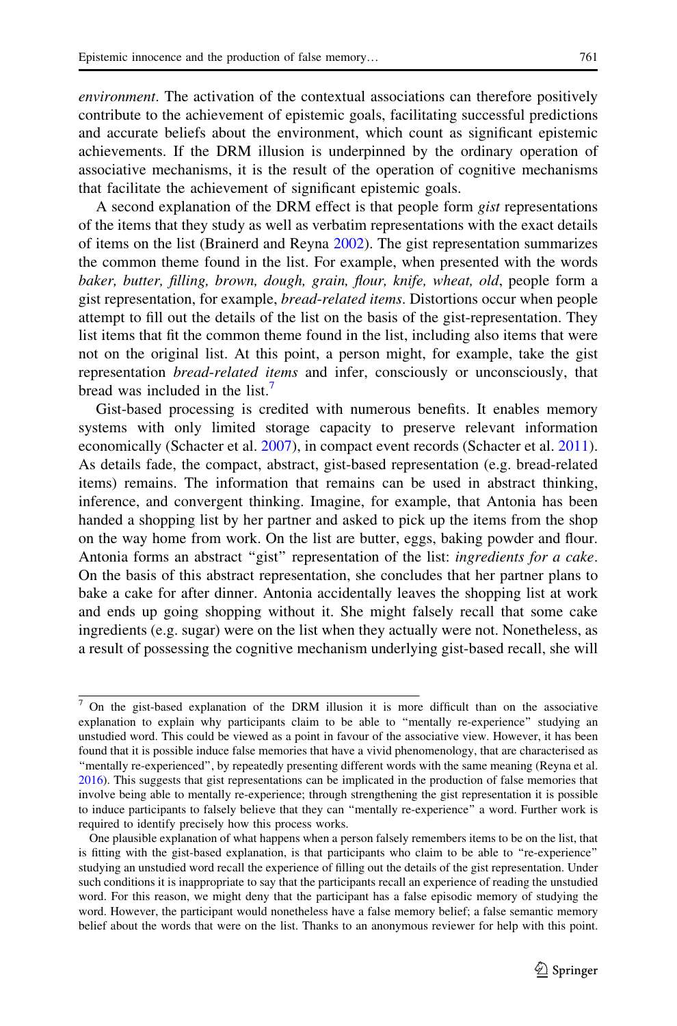environment. The activation of the contextual associations can therefore positively contribute to the achievement of epistemic goals, facilitating successful predictions and accurate beliefs about the environment, which count as significant epistemic achievements. If the DRM illusion is underpinned by the ordinary operation of associative mechanisms, it is the result of the operation of cognitive mechanisms that facilitate the achievement of significant epistemic goals.

A second explanation of the DRM effect is that people form gist representations of the items that they study as well as verbatim representations with the exact details of items on the list (Brainerd and Reyna [2002\)](#page-24-0). The gist representation summarizes the common theme found in the list. For example, when presented with the words baker, butter, filling, brown, dough, grain, flour, knife, wheat, old, people form a gist representation, for example, bread-related items. Distortions occur when people attempt to fill out the details of the list on the basis of the gist-representation. They list items that fit the common theme found in the list, including also items that were not on the original list. At this point, a person might, for example, take the gist representation bread-related items and infer, consciously or unconsciously, that bread was included in the list.

Gist-based processing is credited with numerous benefits. It enables memory systems with only limited storage capacity to preserve relevant information economically (Schacter et al. [2007\)](#page-25-0), in compact event records (Schacter et al. [2011\)](#page-26-0). As details fade, the compact, abstract, gist-based representation (e.g. bread-related items) remains. The information that remains can be used in abstract thinking, inference, and convergent thinking. Imagine, for example, that Antonia has been handed a shopping list by her partner and asked to pick up the items from the shop on the way home from work. On the list are butter, eggs, baking powder and flour. Antonia forms an abstract "gist" representation of the list: *ingredients for a cake*. On the basis of this abstract representation, she concludes that her partner plans to bake a cake for after dinner. Antonia accidentally leaves the shopping list at work and ends up going shopping without it. She might falsely recall that some cake ingredients (e.g. sugar) were on the list when they actually were not. Nonetheless, as a result of possessing the cognitive mechanism underlying gist-based recall, she will

<sup>7</sup> On the gist-based explanation of the DRM illusion it is more difficult than on the associative explanation to explain why participants claim to be able to ''mentally re-experience'' studying an unstudied word. This could be viewed as a point in favour of the associative view. However, it has been found that it is possible induce false memories that have a vivid phenomenology, that are characterised as ''mentally re-experienced'', by repeatedly presenting different words with the same meaning (Reyna et al. [2016\)](#page-25-0). This suggests that gist representations can be implicated in the production of false memories that involve being able to mentally re-experience; through strengthening the gist representation it is possible to induce participants to falsely believe that they can ''mentally re-experience'' a word. Further work is required to identify precisely how this process works.

One plausible explanation of what happens when a person falsely remembers items to be on the list, that is fitting with the gist-based explanation, is that participants who claim to be able to ''re-experience'' studying an unstudied word recall the experience of filling out the details of the gist representation. Under such conditions it is inappropriate to say that the participants recall an experience of reading the unstudied word. For this reason, we might deny that the participant has a false episodic memory of studying the word. However, the participant would nonetheless have a false memory belief; a false semantic memory belief about the words that were on the list. Thanks to an anonymous reviewer for help with this point.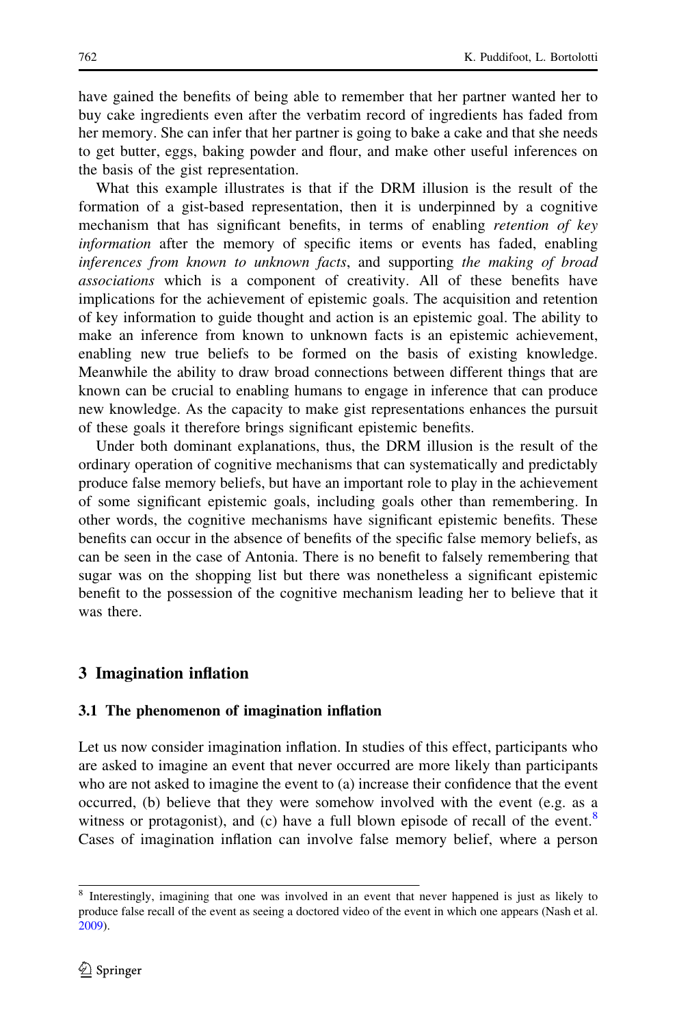have gained the benefits of being able to remember that her partner wanted her to buy cake ingredients even after the verbatim record of ingredients has faded from her memory. She can infer that her partner is going to bake a cake and that she needs to get butter, eggs, baking powder and flour, and make other useful inferences on the basis of the gist representation.

What this example illustrates is that if the DRM illusion is the result of the formation of a gist-based representation, then it is underpinned by a cognitive mechanism that has significant benefits, in terms of enabling *retention of key* information after the memory of specific items or events has faded, enabling inferences from known to unknown facts, and supporting the making of broad associations which is a component of creativity. All of these benefits have implications for the achievement of epistemic goals. The acquisition and retention of key information to guide thought and action is an epistemic goal. The ability to make an inference from known to unknown facts is an epistemic achievement, enabling new true beliefs to be formed on the basis of existing knowledge. Meanwhile the ability to draw broad connections between different things that are known can be crucial to enabling humans to engage in inference that can produce new knowledge. As the capacity to make gist representations enhances the pursuit of these goals it therefore brings significant epistemic benefits.

Under both dominant explanations, thus, the DRM illusion is the result of the ordinary operation of cognitive mechanisms that can systematically and predictably produce false memory beliefs, but have an important role to play in the achievement of some significant epistemic goals, including goals other than remembering. In other words, the cognitive mechanisms have significant epistemic benefits. These benefits can occur in the absence of benefits of the specific false memory beliefs, as can be seen in the case of Antonia. There is no benefit to falsely remembering that sugar was on the shopping list but there was nonetheless a significant epistemic benefit to the possession of the cognitive mechanism leading her to believe that it was there.

#### 3 Imagination inflation

#### 3.1 The phenomenon of imagination inflation

Let us now consider imagination inflation. In studies of this effect, participants who are asked to imagine an event that never occurred are more likely than participants who are not asked to imagine the event to (a) increase their confidence that the event occurred, (b) believe that they were somehow involved with the event (e.g. as a witness or protagonist), and (c) have a full blown episode of recall of the event. $8$ Cases of imagination inflation can involve false memory belief, where a person

<sup>8</sup> Interestingly, imagining that one was involved in an event that never happened is just as likely to produce false recall of the event as seeing a doctored video of the event in which one appears (Nash et al. [2009\)](#page-25-0).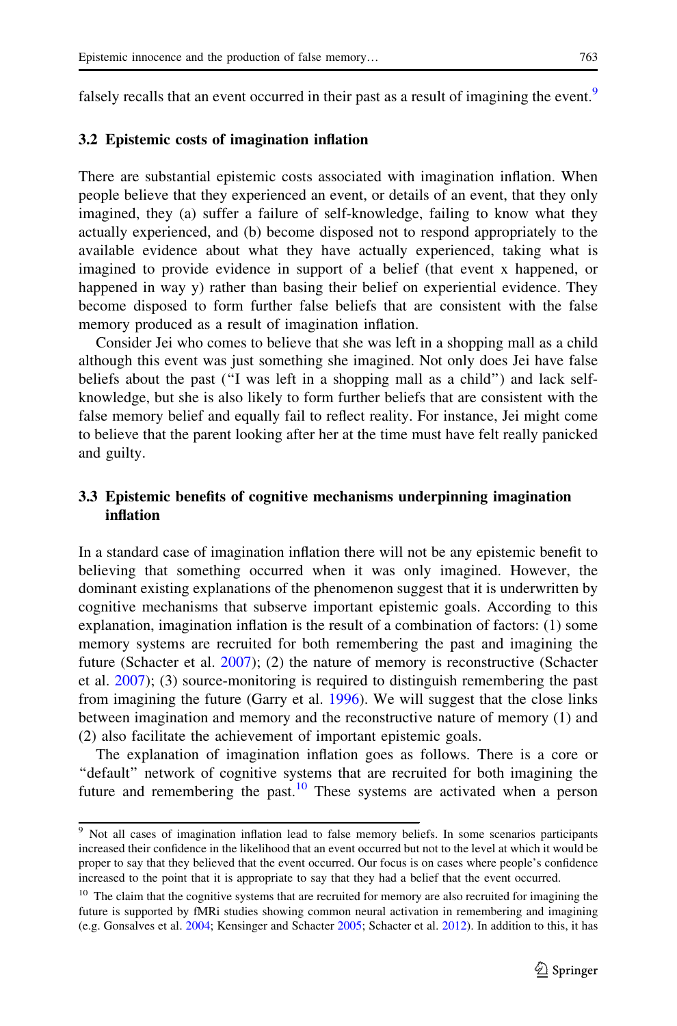<span id="page-9-0"></span>falsely recalls that an event occurred in their past as a result of imagining the event.<sup>9</sup>

#### 3.2 Epistemic costs of imagination inflation

There are substantial epistemic costs associated with imagination inflation. When people believe that they experienced an event, or details of an event, that they only imagined, they (a) suffer a failure of self-knowledge, failing to know what they actually experienced, and (b) become disposed not to respond appropriately to the available evidence about what they have actually experienced, taking what is imagined to provide evidence in support of a belief (that event x happened, or happened in way y) rather than basing their belief on experiential evidence. They become disposed to form further false beliefs that are consistent with the false memory produced as a result of imagination inflation.

Consider Jei who comes to believe that she was left in a shopping mall as a child although this event was just something she imagined. Not only does Jei have false beliefs about the past (''I was left in a shopping mall as a child'') and lack selfknowledge, but she is also likely to form further beliefs that are consistent with the false memory belief and equally fail to reflect reality. For instance, Jei might come to believe that the parent looking after her at the time must have felt really panicked and guilty.

### 3.3 Epistemic benefits of cognitive mechanisms underpinning imagination inflation

In a standard case of imagination inflation there will not be any epistemic benefit to believing that something occurred when it was only imagined. However, the dominant existing explanations of the phenomenon suggest that it is underwritten by cognitive mechanisms that subserve important epistemic goals. According to this explanation, imagination inflation is the result of a combination of factors: (1) some memory systems are recruited for both remembering the past and imagining the future (Schacter et al. [2007](#page-25-0)); (2) the nature of memory is reconstructive (Schacter et al. [2007](#page-25-0)); (3) source-monitoring is required to distinguish remembering the past from imagining the future (Garry et al. [1996](#page-24-0)). We will suggest that the close links between imagination and memory and the reconstructive nature of memory (1) and (2) also facilitate the achievement of important epistemic goals.

The explanation of imagination inflation goes as follows. There is a core or "default" network of cognitive systems that are recruited for both imagining the future and remembering the past.<sup>10</sup> These systems are activated when a person

<sup>&</sup>lt;sup>9</sup> Not all cases of imagination inflation lead to false memory beliefs. In some scenarios participants increased their confidence in the likelihood that an event occurred but not to the level at which it would be proper to say that they believed that the event occurred. Our focus is on cases where people's confidence increased to the point that it is appropriate to say that they had a belief that the event occurred.

<sup>&</sup>lt;sup>10</sup> The claim that the cognitive systems that are recruited for memory are also recruited for imagining the future is supported by fMRi studies showing common neural activation in remembering and imagining (e.g. Gonsalves et al. [2004;](#page-25-0) Kensinger and Schacter [2005](#page-25-0); Schacter et al. [2012](#page-25-0)). In addition to this, it has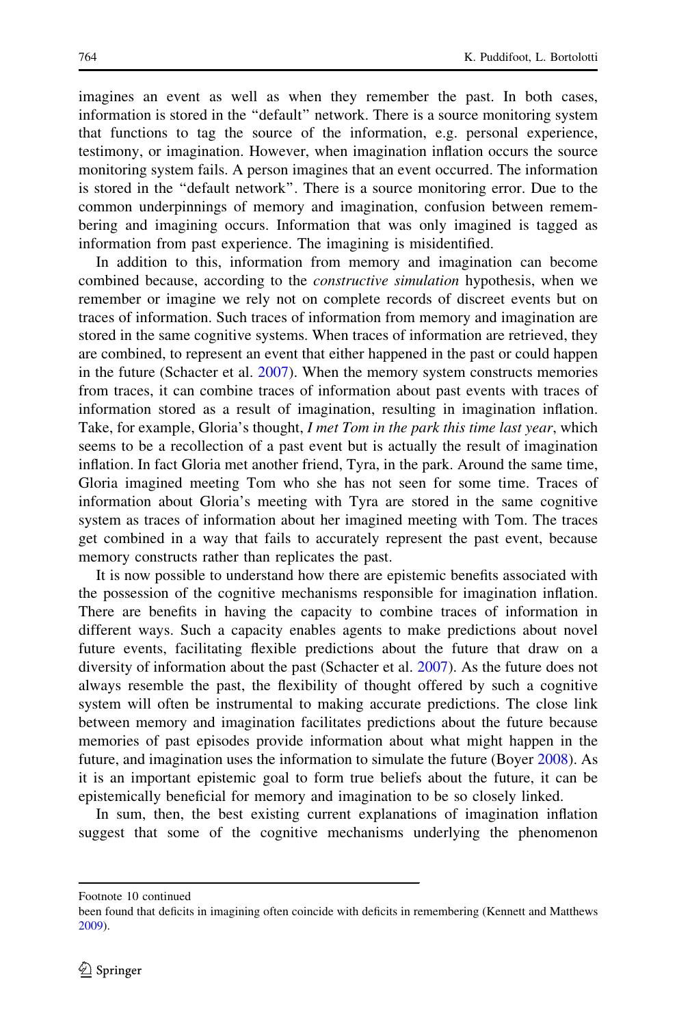imagines an event as well as when they remember the past. In both cases, information is stored in the ''default'' network. There is a source monitoring system that functions to tag the source of the information, e.g. personal experience, testimony, or imagination. However, when imagination inflation occurs the source monitoring system fails. A person imagines that an event occurred. The information is stored in the ''default network''. There is a source monitoring error. Due to the common underpinnings of memory and imagination, confusion between remembering and imagining occurs. Information that was only imagined is tagged as information from past experience. The imagining is misidentified.

In addition to this, information from memory and imagination can become combined because, according to the constructive simulation hypothesis, when we remember or imagine we rely not on complete records of discreet events but on traces of information. Such traces of information from memory and imagination are stored in the same cognitive systems. When traces of information are retrieved, they are combined, to represent an event that either happened in the past or could happen in the future (Schacter et al. [2007](#page-25-0)). When the memory system constructs memories from traces, it can combine traces of information about past events with traces of information stored as a result of imagination, resulting in imagination inflation. Take, for example, Gloria's thought, I met Tom in the park this time last year, which seems to be a recollection of a past event but is actually the result of imagination inflation. In fact Gloria met another friend, Tyra, in the park. Around the same time, Gloria imagined meeting Tom who she has not seen for some time. Traces of information about Gloria's meeting with Tyra are stored in the same cognitive system as traces of information about her imagined meeting with Tom. The traces get combined in a way that fails to accurately represent the past event, because memory constructs rather than replicates the past.

It is now possible to understand how there are epistemic benefits associated with the possession of the cognitive mechanisms responsible for imagination inflation. There are benefits in having the capacity to combine traces of information in different ways. Such a capacity enables agents to make predictions about novel future events, facilitating flexible predictions about the future that draw on a diversity of information about the past (Schacter et al. [2007](#page-25-0)). As the future does not always resemble the past, the flexibility of thought offered by such a cognitive system will often be instrumental to making accurate predictions. The close link between memory and imagination facilitates predictions about the future because memories of past episodes provide information about what might happen in the future, and imagination uses the information to simulate the future (Boyer [2008](#page-24-0)). As it is an important epistemic goal to form true beliefs about the future, it can be epistemically beneficial for memory and imagination to be so closely linked.

In sum, then, the best existing current explanations of imagination inflation suggest that some of the cognitive mechanisms underlying the phenomenon

Footnote 10 continued

been found that deficits in imagining often coincide with deficits in remembering (Kennett and Matthews [2009\)](#page-25-0).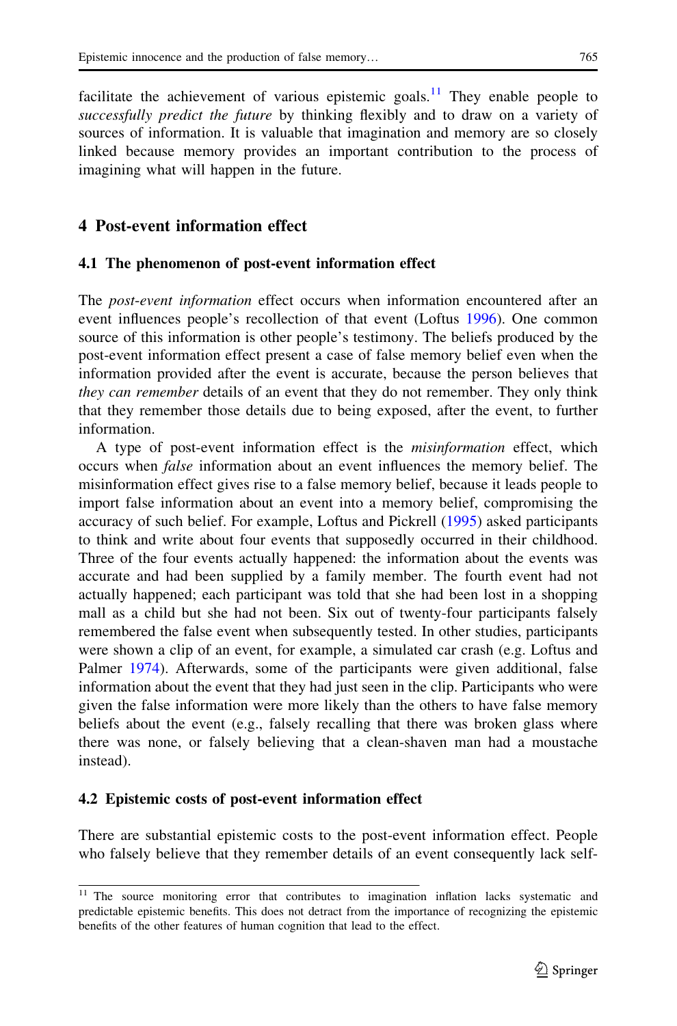<span id="page-11-0"></span>facilitate the achievement of various epistemic goals.<sup>11</sup> They enable people to successfully predict the future by thinking flexibly and to draw on a variety of sources of information. It is valuable that imagination and memory are so closely linked because memory provides an important contribution to the process of imagining what will happen in the future.

### 4 Post-event information effect

#### 4.1 The phenomenon of post-event information effect

The *post-event information* effect occurs when information encountered after an event influences people's recollection of that event (Loftus [1996\)](#page-25-0). One common source of this information is other people's testimony. The beliefs produced by the post-event information effect present a case of false memory belief even when the information provided after the event is accurate, because the person believes that they can remember details of an event that they do not remember. They only think that they remember those details due to being exposed, after the event, to further information.

A type of post-event information effect is the misinformation effect, which occurs when false information about an event influences the memory belief. The misinformation effect gives rise to a false memory belief, because it leads people to import false information about an event into a memory belief, compromising the accuracy of such belief. For example, Loftus and Pickrell ([1995\)](#page-25-0) asked participants to think and write about four events that supposedly occurred in their childhood. Three of the four events actually happened: the information about the events was accurate and had been supplied by a family member. The fourth event had not actually happened; each participant was told that she had been lost in a shopping mall as a child but she had not been. Six out of twenty-four participants falsely remembered the false event when subsequently tested. In other studies, participants were shown a clip of an event, for example, a simulated car crash (e.g. Loftus and Palmer [1974\)](#page-25-0). Afterwards, some of the participants were given additional, false information about the event that they had just seen in the clip. Participants who were given the false information were more likely than the others to have false memory beliefs about the event (e.g., falsely recalling that there was broken glass where there was none, or falsely believing that a clean-shaven man had a moustache instead).

#### 4.2 Epistemic costs of post-event information effect

There are substantial epistemic costs to the post-event information effect. People who falsely believe that they remember details of an event consequently lack self-

<sup>&</sup>lt;sup>11</sup> The source monitoring error that contributes to imagination inflation lacks systematic and predictable epistemic benefits. This does not detract from the importance of recognizing the epistemic benefits of the other features of human cognition that lead to the effect.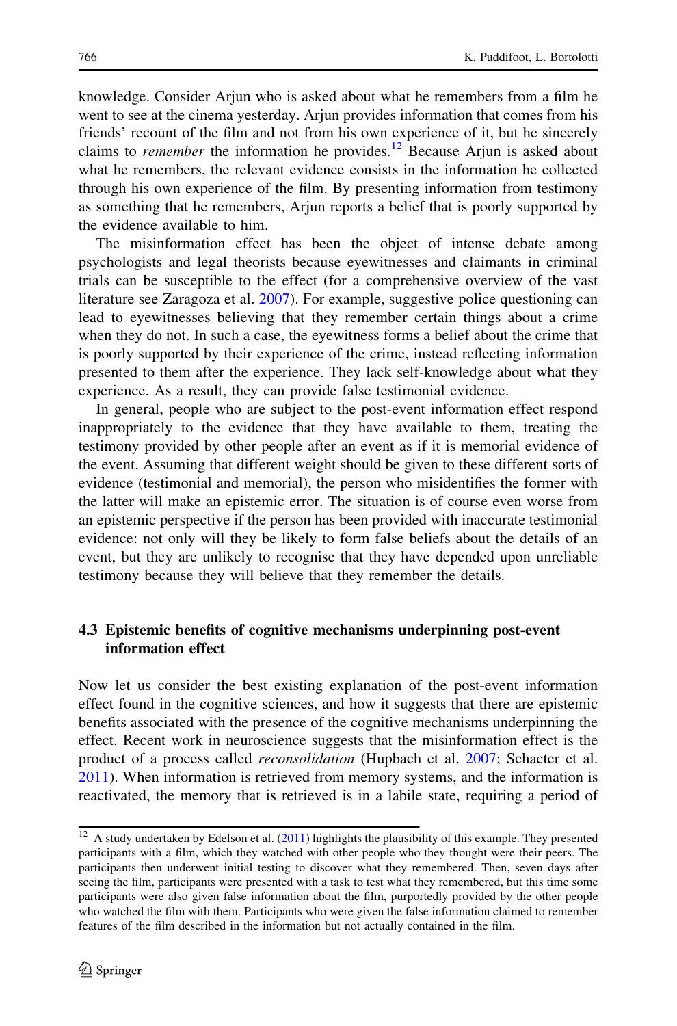<span id="page-12-0"></span>knowledge. Consider Arjun who is asked about what he remembers from a film he went to see at the cinema yesterday. Arjun provides information that comes from his friends' recount of the film and not from his own experience of it, but he sincerely claims to *remember* the information he provides.<sup>12</sup> Because Arjun is asked about what he remembers, the relevant evidence consists in the information he collected through his own experience of the film. By presenting information from testimony as something that he remembers, Arjun reports a belief that is poorly supported by the evidence available to him.

The misinformation effect has been the object of intense debate among psychologists and legal theorists because eyewitnesses and claimants in criminal trials can be susceptible to the effect (for a comprehensive overview of the vast literature see Zaragoza et al. [2007](#page-26-0)). For example, suggestive police questioning can lead to eyewitnesses believing that they remember certain things about a crime when they do not. In such a case, the eyewitness forms a belief about the crime that is poorly supported by their experience of the crime, instead reflecting information presented to them after the experience. They lack self-knowledge about what they experience. As a result, they can provide false testimonial evidence.

In general, people who are subject to the post-event information effect respond inappropriately to the evidence that they have available to them, treating the testimony provided by other people after an event as if it is memorial evidence of the event. Assuming that different weight should be given to these different sorts of evidence (testimonial and memorial), the person who misidentifies the former with the latter will make an epistemic error. The situation is of course even worse from an epistemic perspective if the person has been provided with inaccurate testimonial evidence: not only will they be likely to form false beliefs about the details of an event, but they are unlikely to recognise that they have depended upon unreliable testimony because they will believe that they remember the details.

### 4.3 Epistemic benefits of cognitive mechanisms underpinning post-event information effect

Now let us consider the best existing explanation of the post-event information effect found in the cognitive sciences, and how it suggests that there are epistemic benefits associated with the presence of the cognitive mechanisms underpinning the effect. Recent work in neuroscience suggests that the misinformation effect is the product of a process called reconsolidation (Hupbach et al. [2007](#page-25-0); Schacter et al. [2011\)](#page-26-0). When information is retrieved from memory systems, and the information is reactivated, the memory that is retrieved is in a labile state, requiring a period of

 $\frac{12}{12}$  A study undertaken by Edelson et al. ([2011\)](#page-24-0) highlights the plausibility of this example. They presented participants with a film, which they watched with other people who they thought were their peers. The participants then underwent initial testing to discover what they remembered. Then, seven days after seeing the film, participants were presented with a task to test what they remembered, but this time some participants were also given false information about the film, purportedly provided by the other people who watched the film with them. Participants who were given the false information claimed to remember features of the film described in the information but not actually contained in the film.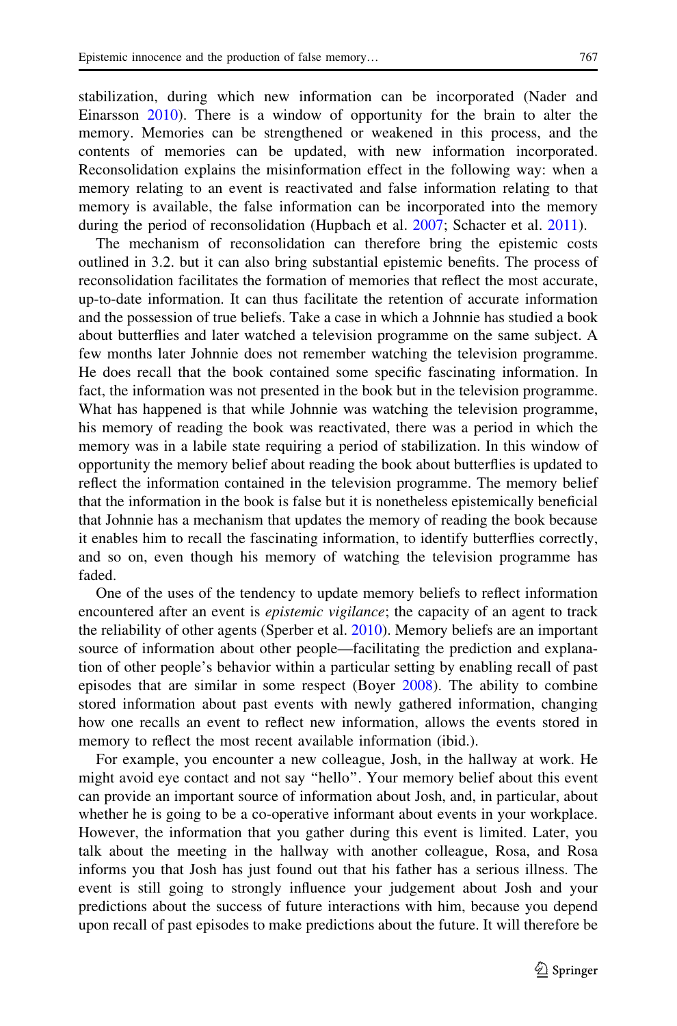stabilization, during which new information can be incorporated (Nader and Einarsson [2010\)](#page-25-0). There is a window of opportunity for the brain to alter the memory. Memories can be strengthened or weakened in this process, and the contents of memories can be updated, with new information incorporated. Reconsolidation explains the misinformation effect in the following way: when a memory relating to an event is reactivated and false information relating to that memory is available, the false information can be incorporated into the memory during the period of reconsolidation (Hupbach et al. [2007](#page-25-0); Schacter et al. [2011\)](#page-26-0).

The mechanism of reconsolidation can therefore bring the epistemic costs outlined in 3.2. but it can also bring substantial epistemic benefits. The process of reconsolidation facilitates the formation of memories that reflect the most accurate, up-to-date information. It can thus facilitate the retention of accurate information and the possession of true beliefs. Take a case in which a Johnnie has studied a book about butterflies and later watched a television programme on the same subject. A few months later Johnnie does not remember watching the television programme. He does recall that the book contained some specific fascinating information. In fact, the information was not presented in the book but in the television programme. What has happened is that while Johnnie was watching the television programme, his memory of reading the book was reactivated, there was a period in which the memory was in a labile state requiring a period of stabilization. In this window of opportunity the memory belief about reading the book about butterflies is updated to reflect the information contained in the television programme. The memory belief that the information in the book is false but it is nonetheless epistemically beneficial that Johnnie has a mechanism that updates the memory of reading the book because it enables him to recall the fascinating information, to identify butterflies correctly, and so on, even though his memory of watching the television programme has faded.

One of the uses of the tendency to update memory beliefs to reflect information encountered after an event is epistemic vigilance; the capacity of an agent to track the reliability of other agents (Sperber et al. [2010](#page-26-0)). Memory beliefs are an important source of information about other people—facilitating the prediction and explanation of other people's behavior within a particular setting by enabling recall of past episodes that are similar in some respect (Boyer [2008](#page-24-0)). The ability to combine stored information about past events with newly gathered information, changing how one recalls an event to reflect new information, allows the events stored in memory to reflect the most recent available information (ibid.).

For example, you encounter a new colleague, Josh, in the hallway at work. He might avoid eye contact and not say ''hello''. Your memory belief about this event can provide an important source of information about Josh, and, in particular, about whether he is going to be a co-operative informant about events in your workplace. However, the information that you gather during this event is limited. Later, you talk about the meeting in the hallway with another colleague, Rosa, and Rosa informs you that Josh has just found out that his father has a serious illness. The event is still going to strongly influence your judgement about Josh and your predictions about the success of future interactions with him, because you depend upon recall of past episodes to make predictions about the future. It will therefore be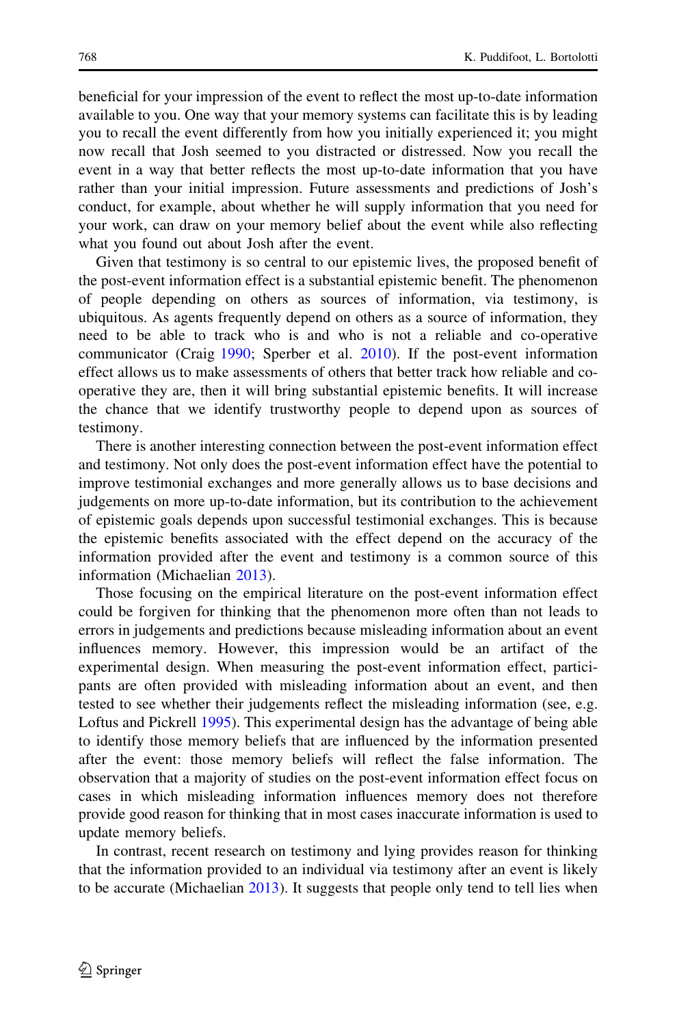beneficial for your impression of the event to reflect the most up-to-date information available to you. One way that your memory systems can facilitate this is by leading you to recall the event differently from how you initially experienced it; you might now recall that Josh seemed to you distracted or distressed. Now you recall the event in a way that better reflects the most up-to-date information that you have rather than your initial impression. Future assessments and predictions of Josh's conduct, for example, about whether he will supply information that you need for your work, can draw on your memory belief about the event while also reflecting what you found out about Josh after the event.

Given that testimony is so central to our epistemic lives, the proposed benefit of the post-event information effect is a substantial epistemic benefit. The phenomenon of people depending on others as sources of information, via testimony, is ubiquitous. As agents frequently depend on others as a source of information, they need to be able to track who is and who is not a reliable and co-operative communicator (Craig [1990;](#page-24-0) Sperber et al. [2010](#page-26-0)). If the post-event information effect allows us to make assessments of others that better track how reliable and cooperative they are, then it will bring substantial epistemic benefits. It will increase the chance that we identify trustworthy people to depend upon as sources of testimony.

There is another interesting connection between the post-event information effect and testimony. Not only does the post-event information effect have the potential to improve testimonial exchanges and more generally allows us to base decisions and judgements on more up-to-date information, but its contribution to the achievement of epistemic goals depends upon successful testimonial exchanges. This is because the epistemic benefits associated with the effect depend on the accuracy of the information provided after the event and testimony is a common source of this information (Michaelian [2013](#page-25-0)).

Those focusing on the empirical literature on the post-event information effect could be forgiven for thinking that the phenomenon more often than not leads to errors in judgements and predictions because misleading information about an event influences memory. However, this impression would be an artifact of the experimental design. When measuring the post-event information effect, participants are often provided with misleading information about an event, and then tested to see whether their judgements reflect the misleading information (see, e.g. Loftus and Pickrell [1995](#page-25-0)). This experimental design has the advantage of being able to identify those memory beliefs that are influenced by the information presented after the event: those memory beliefs will reflect the false information. The observation that a majority of studies on the post-event information effect focus on cases in which misleading information influences memory does not therefore provide good reason for thinking that in most cases inaccurate information is used to update memory beliefs.

In contrast, recent research on testimony and lying provides reason for thinking that the information provided to an individual via testimony after an event is likely to be accurate (Michaelian [2013](#page-25-0)). It suggests that people only tend to tell lies when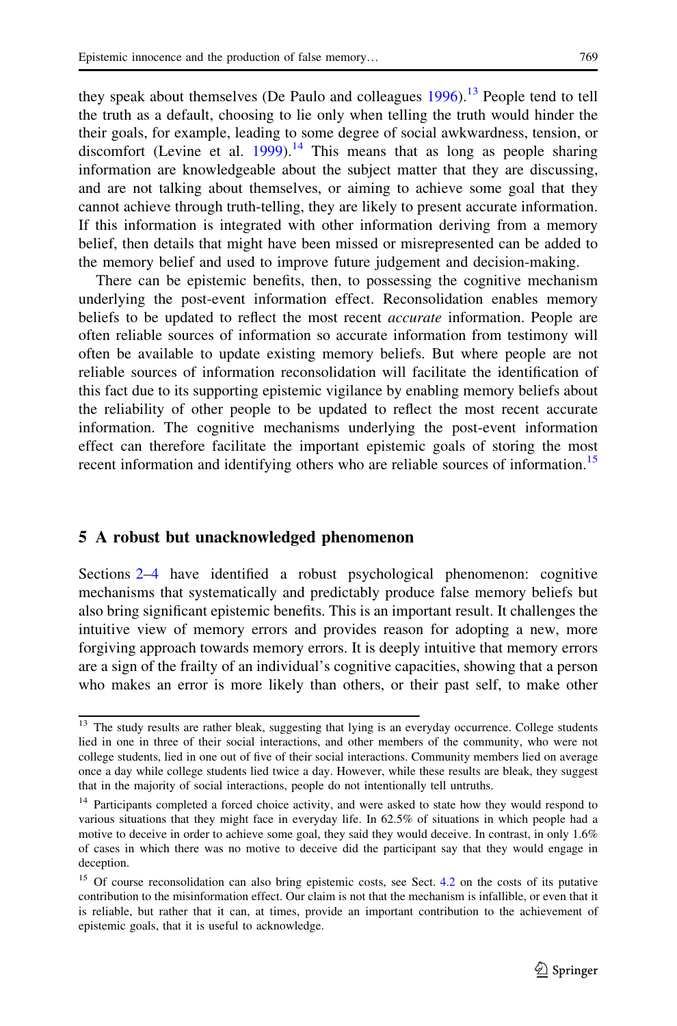they speak about themselves (De Paulo and colleagues [1996](#page-24-0)).<sup>13</sup> People tend to tell the truth as a default, choosing to lie only when telling the truth would hinder the their goals, for example, leading to some degree of social awkwardness, tension, or discomfort (Levine et al. [1999\)](#page-25-0).<sup>14</sup> This means that as long as people sharing information are knowledgeable about the subject matter that they are discussing, and are not talking about themselves, or aiming to achieve some goal that they cannot achieve through truth-telling, they are likely to present accurate information. If this information is integrated with other information deriving from a memory belief, then details that might have been missed or misrepresented can be added to the memory belief and used to improve future judgement and decision-making.

There can be epistemic benefits, then, to possessing the cognitive mechanism underlying the post-event information effect. Reconsolidation enables memory beliefs to be updated to reflect the most recent *accurate* information. People are often reliable sources of information so accurate information from testimony will often be available to update existing memory beliefs. But where people are not reliable sources of information reconsolidation will facilitate the identification of this fact due to its supporting epistemic vigilance by enabling memory beliefs about the reliability of other people to be updated to reflect the most recent accurate information. The cognitive mechanisms underlying the post-event information effect can therefore facilitate the important epistemic goals of storing the most recent information and identifying others who are reliable sources of information.<sup>15</sup>

#### 5 A robust but unacknowledged phenomenon

Sections [2](#page-4-0)[–4](#page-11-0) have identified a robust psychological phenomenon: cognitive mechanisms that systematically and predictably produce false memory beliefs but also bring significant epistemic benefits. This is an important result. It challenges the intuitive view of memory errors and provides reason for adopting a new, more forgiving approach towards memory errors. It is deeply intuitive that memory errors are a sign of the frailty of an individual's cognitive capacities, showing that a person who makes an error is more likely than others, or their past self, to make other

<sup>&</sup>lt;sup>13</sup> The study results are rather bleak, suggesting that lying is an everyday occurrence. College students lied in one in three of their social interactions, and other members of the community, who were not college students, lied in one out of five of their social interactions. Community members lied on average once a day while college students lied twice a day. However, while these results are bleak, they suggest that in the majority of social interactions, people do not intentionally tell untruths.

<sup>&</sup>lt;sup>14</sup> Participants completed a forced choice activity, and were asked to state how they would respond to various situations that they might face in everyday life. In 62.5% of situations in which people had a motive to deceive in order to achieve some goal, they said they would deceive. In contrast, in only 1.6% of cases in which there was no motive to deceive did the participant say that they would engage in deception.

<sup>&</sup>lt;sup>15</sup> Of course reconsolidation can also bring epistemic costs, see Sect. [4.2](#page-11-0) on the costs of its putative contribution to the misinformation effect. Our claim is not that the mechanism is infallible, or even that it is reliable, but rather that it can, at times, provide an important contribution to the achievement of epistemic goals, that it is useful to acknowledge.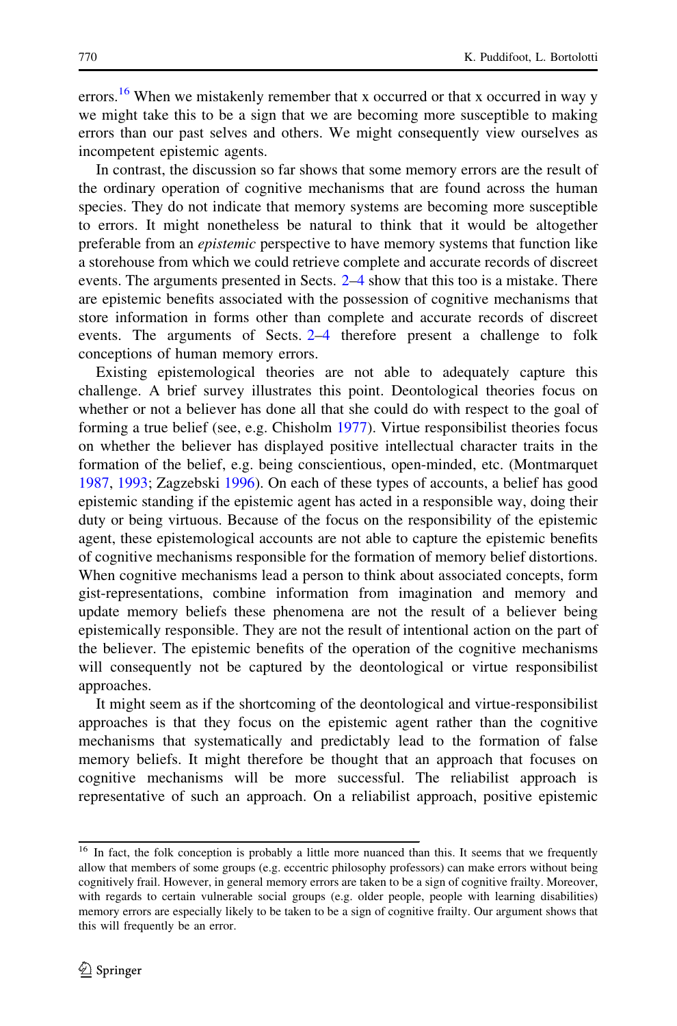errors.<sup>16</sup> When we mistakenly remember that x occurred or that x occurred in way y we might take this to be a sign that we are becoming more susceptible to making errors than our past selves and others. We might consequently view ourselves as incompetent epistemic agents.

In contrast, the discussion so far shows that some memory errors are the result of the ordinary operation of cognitive mechanisms that are found across the human species. They do not indicate that memory systems are becoming more susceptible to errors. It might nonetheless be natural to think that it would be altogether preferable from an epistemic perspective to have memory systems that function like a storehouse from which we could retrieve complete and accurate records of discreet events. The arguments presented in Sects. [2–](#page-4-0)[4](#page-11-0) show that this too is a mistake. There are epistemic benefits associated with the possession of cognitive mechanisms that store information in forms other than complete and accurate records of discreet events. The arguments of Sects. [2](#page-4-0)[–4](#page-11-0) therefore present a challenge to folk conceptions of human memory errors.

Existing epistemological theories are not able to adequately capture this challenge. A brief survey illustrates this point. Deontological theories focus on whether or not a believer has done all that she could do with respect to the goal of forming a true belief (see, e.g. Chisholm [1977\)](#page-24-0). Virtue responsibilist theories focus on whether the believer has displayed positive intellectual character traits in the formation of the belief, e.g. being conscientious, open-minded, etc. (Montmarquet [1987,](#page-25-0) [1993](#page-25-0); Zagzebski [1996\)](#page-26-0). On each of these types of accounts, a belief has good epistemic standing if the epistemic agent has acted in a responsible way, doing their duty or being virtuous. Because of the focus on the responsibility of the epistemic agent, these epistemological accounts are not able to capture the epistemic benefits of cognitive mechanisms responsible for the formation of memory belief distortions. When cognitive mechanisms lead a person to think about associated concepts, form gist-representations, combine information from imagination and memory and update memory beliefs these phenomena are not the result of a believer being epistemically responsible. They are not the result of intentional action on the part of the believer. The epistemic benefits of the operation of the cognitive mechanisms will consequently not be captured by the deontological or virtue responsibilist approaches.

It might seem as if the shortcoming of the deontological and virtue-responsibilist approaches is that they focus on the epistemic agent rather than the cognitive mechanisms that systematically and predictably lead to the formation of false memory beliefs. It might therefore be thought that an approach that focuses on cognitive mechanisms will be more successful. The reliabilist approach is representative of such an approach. On a reliabilist approach, positive epistemic

<sup>&</sup>lt;sup>16</sup> In fact, the folk conception is probably a little more nuanced than this. It seems that we frequently allow that members of some groups (e.g. eccentric philosophy professors) can make errors without being cognitively frail. However, in general memory errors are taken to be a sign of cognitive frailty. Moreover, with regards to certain vulnerable social groups (e.g. older people, people with learning disabilities) memory errors are especially likely to be taken to be a sign of cognitive frailty. Our argument shows that this will frequently be an error.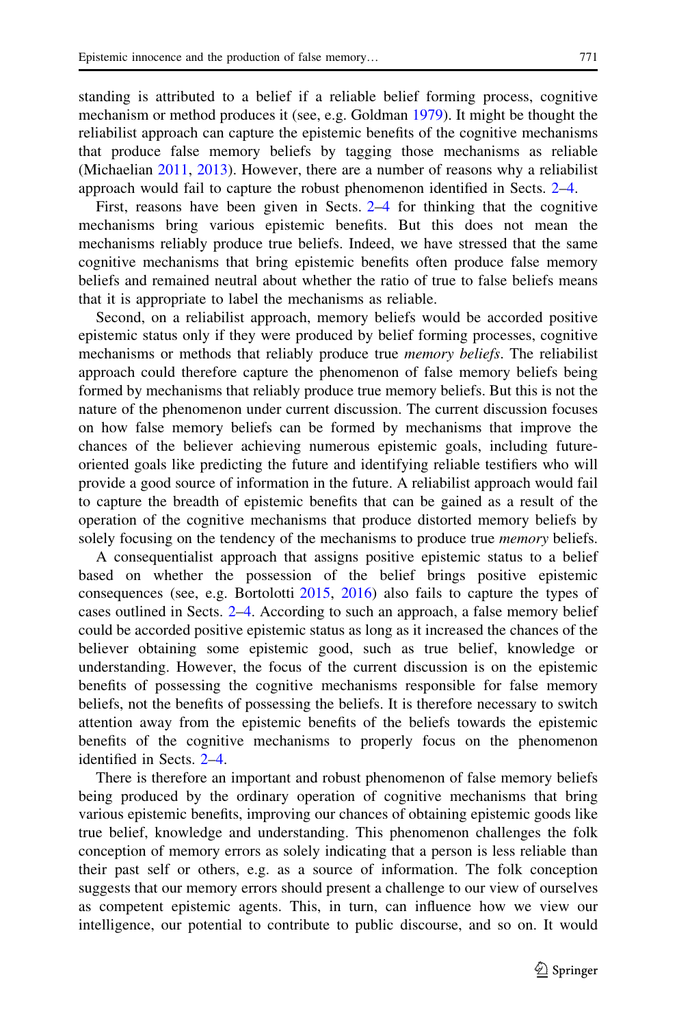standing is attributed to a belief if a reliable belief forming process, cognitive mechanism or method produces it (see, e.g. Goldman [1979\)](#page-24-0). It might be thought the reliabilist approach can capture the epistemic benefits of the cognitive mechanisms that produce false memory beliefs by tagging those mechanisms as reliable (Michaelian [2011](#page-25-0), [2013\)](#page-25-0). However, there are a number of reasons why a reliabilist approach would fail to capture the robust phenomenon identified in Sects. [2](#page-4-0)[–4](#page-11-0).

First, reasons have been given in Sects. [2](#page-4-0)[–4](#page-11-0) for thinking that the cognitive mechanisms bring various epistemic benefits. But this does not mean the mechanisms reliably produce true beliefs. Indeed, we have stressed that the same cognitive mechanisms that bring epistemic benefits often produce false memory beliefs and remained neutral about whether the ratio of true to false beliefs means that it is appropriate to label the mechanisms as reliable.

Second, on a reliabilist approach, memory beliefs would be accorded positive epistemic status only if they were produced by belief forming processes, cognitive mechanisms or methods that reliably produce true *memory beliefs*. The reliabilist approach could therefore capture the phenomenon of false memory beliefs being formed by mechanisms that reliably produce true memory beliefs. But this is not the nature of the phenomenon under current discussion. The current discussion focuses on how false memory beliefs can be formed by mechanisms that improve the chances of the believer achieving numerous epistemic goals, including futureoriented goals like predicting the future and identifying reliable testifiers who will provide a good source of information in the future. A reliabilist approach would fail to capture the breadth of epistemic benefits that can be gained as a result of the operation of the cognitive mechanisms that produce distorted memory beliefs by solely focusing on the tendency of the mechanisms to produce true *memory* beliefs.

A consequentialist approach that assigns positive epistemic status to a belief based on whether the possession of the belief brings positive epistemic consequences (see, e.g. Bortolotti [2015,](#page-24-0) [2016\)](#page-24-0) also fails to capture the types of cases outlined in Sects. [2](#page-4-0)[–4](#page-11-0). According to such an approach, a false memory belief could be accorded positive epistemic status as long as it increased the chances of the believer obtaining some epistemic good, such as true belief, knowledge or understanding. However, the focus of the current discussion is on the epistemic benefits of possessing the cognitive mechanisms responsible for false memory beliefs, not the benefits of possessing the beliefs. It is therefore necessary to switch attention away from the epistemic benefits of the beliefs towards the epistemic benefits of the cognitive mechanisms to properly focus on the phenomenon identified in Sects. [2](#page-4-0)[–4](#page-11-0).

There is therefore an important and robust phenomenon of false memory beliefs being produced by the ordinary operation of cognitive mechanisms that bring various epistemic benefits, improving our chances of obtaining epistemic goods like true belief, knowledge and understanding. This phenomenon challenges the folk conception of memory errors as solely indicating that a person is less reliable than their past self or others, e.g. as a source of information. The folk conception suggests that our memory errors should present a challenge to our view of ourselves as competent epistemic agents. This, in turn, can influence how we view our intelligence, our potential to contribute to public discourse, and so on. It would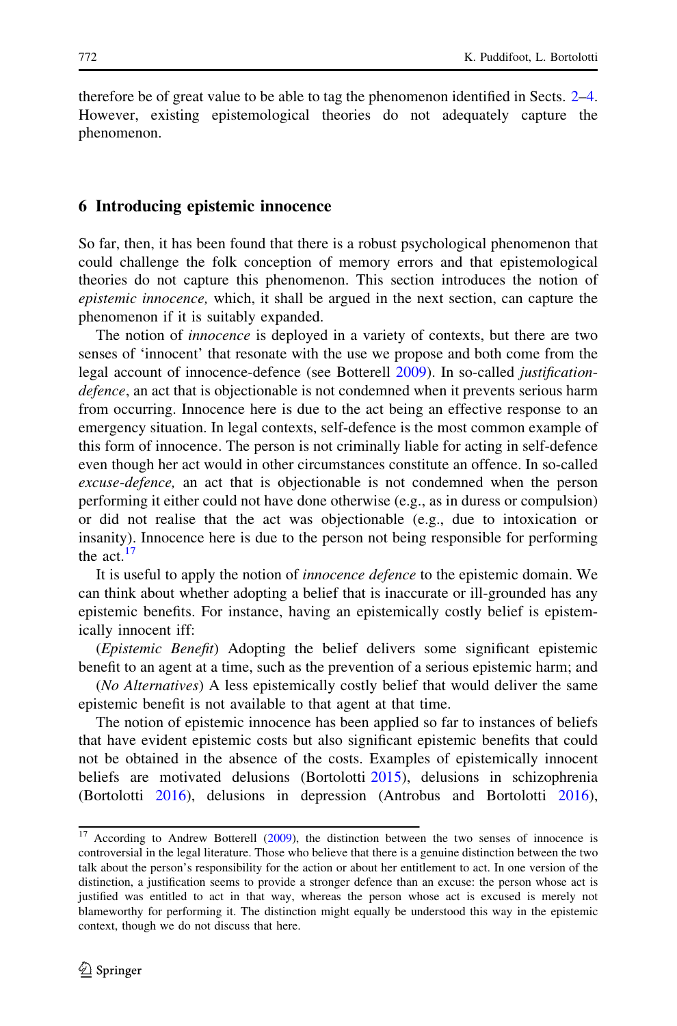therefore be of great value to be able to tag the phenomenon identified in Sects. [2–](#page-4-0)[4.](#page-11-0) However, existing epistemological theories do not adequately capture the phenomenon.

#### 6 Introducing epistemic innocence

So far, then, it has been found that there is a robust psychological phenomenon that could challenge the folk conception of memory errors and that epistemological theories do not capture this phenomenon. This section introduces the notion of epistemic innocence, which, it shall be argued in the next section, can capture the phenomenon if it is suitably expanded.

The notion of *innocence* is deployed in a variety of contexts, but there are two senses of 'innocent' that resonate with the use we propose and both come from the legal account of innocence-defence (see Botterell [2009](#page-24-0)). In so-called justificationdefence, an act that is objectionable is not condemned when it prevents serious harm from occurring. Innocence here is due to the act being an effective response to an emergency situation. In legal contexts, self-defence is the most common example of this form of innocence. The person is not criminally liable for acting in self-defence even though her act would in other circumstances constitute an offence. In so-called excuse-defence, an act that is objectionable is not condemned when the person performing it either could not have done otherwise (e.g., as in duress or compulsion) or did not realise that the act was objectionable (e.g., due to intoxication or insanity). Innocence here is due to the person not being responsible for performing the act. $17$ 

It is useful to apply the notion of *innocence defence* to the epistemic domain. We can think about whether adopting a belief that is inaccurate or ill-grounded has any epistemic benefits. For instance, having an epistemically costly belief is epistemically innocent iff:

(Epistemic Benefit) Adopting the belief delivers some significant epistemic benefit to an agent at a time, such as the prevention of a serious epistemic harm; and

(No Alternatives) A less epistemically costly belief that would deliver the same epistemic benefit is not available to that agent at that time.

The notion of epistemic innocence has been applied so far to instances of beliefs that have evident epistemic costs but also significant epistemic benefits that could not be obtained in the absence of the costs. Examples of epistemically innocent beliefs are motivated delusions (Bortolotti [2015\)](#page-24-0), delusions in schizophrenia (Bortolotti [2016\)](#page-24-0), delusions in depression (Antrobus and Bortolotti [2016\)](#page-24-0),

<sup>&</sup>lt;sup>17</sup> According to Andrew Botterell ([2009\)](#page-24-0), the distinction between the two senses of innocence is controversial in the legal literature. Those who believe that there is a genuine distinction between the two talk about the person's responsibility for the action or about her entitlement to act. In one version of the distinction, a justification seems to provide a stronger defence than an excuse: the person whose act is justified was entitled to act in that way, whereas the person whose act is excused is merely not blameworthy for performing it. The distinction might equally be understood this way in the epistemic context, though we do not discuss that here.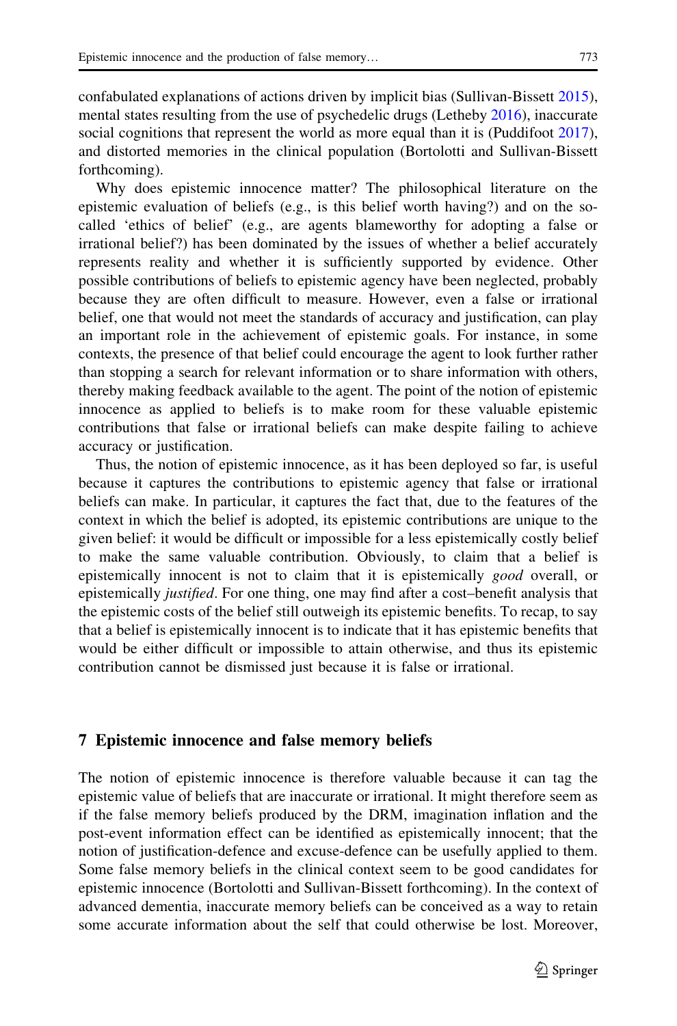confabulated explanations of actions driven by implicit bias (Sullivan-Bissett [2015\)](#page-26-0), mental states resulting from the use of psychedelic drugs (Letheby [2016\)](#page-25-0), inaccurate social cognitions that represent the world as more equal than it is (Puddifoot [2017\)](#page-25-0), and distorted memories in the clinical population (Bortolotti and Sullivan-Bissett forthcoming).

Why does epistemic innocence matter? The philosophical literature on the epistemic evaluation of beliefs (e.g., is this belief worth having?) and on the socalled 'ethics of belief' (e.g., are agents blameworthy for adopting a false or irrational belief?) has been dominated by the issues of whether a belief accurately represents reality and whether it is sufficiently supported by evidence. Other possible contributions of beliefs to epistemic agency have been neglected, probably because they are often difficult to measure. However, even a false or irrational belief, one that would not meet the standards of accuracy and justification, can play an important role in the achievement of epistemic goals. For instance, in some contexts, the presence of that belief could encourage the agent to look further rather than stopping a search for relevant information or to share information with others, thereby making feedback available to the agent. The point of the notion of epistemic innocence as applied to beliefs is to make room for these valuable epistemic contributions that false or irrational beliefs can make despite failing to achieve accuracy or justification.

Thus, the notion of epistemic innocence, as it has been deployed so far, is useful because it captures the contributions to epistemic agency that false or irrational beliefs can make. In particular, it captures the fact that, due to the features of the context in which the belief is adopted, its epistemic contributions are unique to the given belief: it would be difficult or impossible for a less epistemically costly belief to make the same valuable contribution. Obviously, to claim that a belief is epistemically innocent is not to claim that it is epistemically *good* overall, or epistemically *justified*. For one thing, one may find after a cost–benefit analysis that the epistemic costs of the belief still outweigh its epistemic benefits. To recap, to say that a belief is epistemically innocent is to indicate that it has epistemic benefits that would be either difficult or impossible to attain otherwise, and thus its epistemic contribution cannot be dismissed just because it is false or irrational.

#### 7 Epistemic innocence and false memory beliefs

The notion of epistemic innocence is therefore valuable because it can tag the epistemic value of beliefs that are inaccurate or irrational. It might therefore seem as if the false memory beliefs produced by the DRM, imagination inflation and the post-event information effect can be identified as epistemically innocent; that the notion of justification-defence and excuse-defence can be usefully applied to them. Some false memory beliefs in the clinical context seem to be good candidates for epistemic innocence (Bortolotti and Sullivan-Bissett forthcoming). In the context of advanced dementia, inaccurate memory beliefs can be conceived as a way to retain some accurate information about the self that could otherwise be lost. Moreover,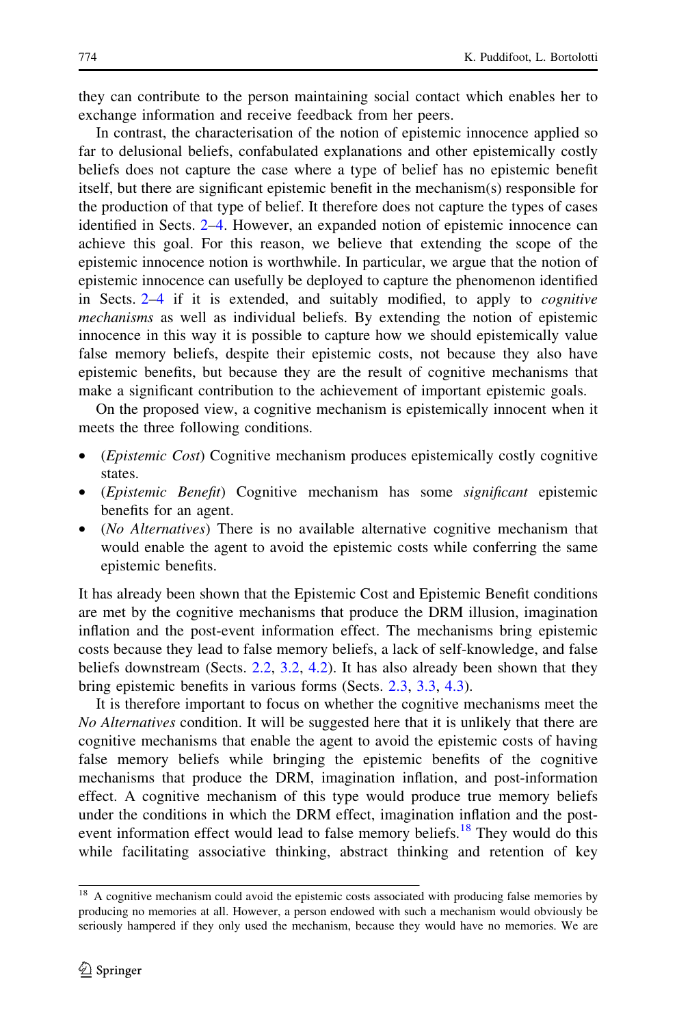they can contribute to the person maintaining social contact which enables her to exchange information and receive feedback from her peers.

In contrast, the characterisation of the notion of epistemic innocence applied so far to delusional beliefs, confabulated explanations and other epistemically costly beliefs does not capture the case where a type of belief has no epistemic benefit itself, but there are significant epistemic benefit in the mechanism(s) responsible for the production of that type of belief. It therefore does not capture the types of cases identified in Sects. [2](#page-4-0)[–4](#page-11-0). However, an expanded notion of epistemic innocence can achieve this goal. For this reason, we believe that extending the scope of the epistemic innocence notion is worthwhile. In particular, we argue that the notion of epistemic innocence can usefully be deployed to capture the phenomenon identified in Sects. [2–](#page-4-0)[4](#page-11-0) if it is extended, and suitably modified, to apply to cognitive mechanisms as well as individual beliefs. By extending the notion of epistemic innocence in this way it is possible to capture how we should epistemically value false memory beliefs, despite their epistemic costs, not because they also have epistemic benefits, but because they are the result of cognitive mechanisms that make a significant contribution to the achievement of important epistemic goals.

On the proposed view, a cognitive mechanism is epistemically innocent when it meets the three following conditions.

- (Epistemic Cost) Cognitive mechanism produces epistemically costly cognitive states.
- (Epistemic Benefit) Cognitive mechanism has some significant epistemic benefits for an agent.
- (*No Alternatives*) There is no available alternative cognitive mechanism that would enable the agent to avoid the epistemic costs while conferring the same epistemic benefits.

It has already been shown that the Epistemic Cost and Epistemic Benefit conditions are met by the cognitive mechanisms that produce the DRM illusion, imagination inflation and the post-event information effect. The mechanisms bring epistemic costs because they lead to false memory beliefs, a lack of self-knowledge, and false beliefs downstream (Sects. [2.2](#page-5-0), [3.2,](#page-9-0) [4.2\)](#page-11-0). It has also already been shown that they bring epistemic benefits in various forms (Sects. [2.3,](#page-5-0) [3.3](#page-9-0), [4.3](#page-12-0)).

It is therefore important to focus on whether the cognitive mechanisms meet the No Alternatives condition. It will be suggested here that it is unlikely that there are cognitive mechanisms that enable the agent to avoid the epistemic costs of having false memory beliefs while bringing the epistemic benefits of the cognitive mechanisms that produce the DRM, imagination inflation, and post-information effect. A cognitive mechanism of this type would produce true memory beliefs under the conditions in which the DRM effect, imagination inflation and the postevent information effect would lead to false memory beliefs.<sup>18</sup> They would do this while facilitating associative thinking, abstract thinking and retention of key

<sup>&</sup>lt;sup>18</sup> A cognitive mechanism could avoid the epistemic costs associated with producing false memories by producing no memories at all. However, a person endowed with such a mechanism would obviously be seriously hampered if they only used the mechanism, because they would have no memories. We are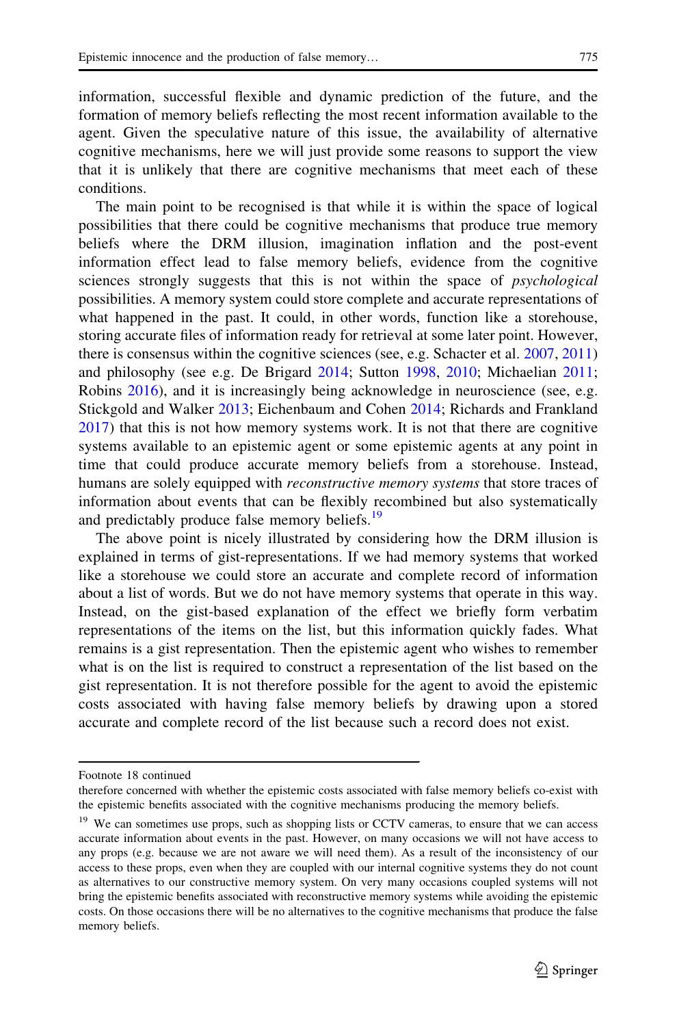information, successful flexible and dynamic prediction of the future, and the formation of memory beliefs reflecting the most recent information available to the agent. Given the speculative nature of this issue, the availability of alternative cognitive mechanisms, here we will just provide some reasons to support the view that it is unlikely that there are cognitive mechanisms that meet each of these conditions.

The main point to be recognised is that while it is within the space of logical possibilities that there could be cognitive mechanisms that produce true memory beliefs where the DRM illusion, imagination inflation and the post-event information effect lead to false memory beliefs, evidence from the cognitive sciences strongly suggests that this is not within the space of *psychological* possibilities. A memory system could store complete and accurate representations of what happened in the past. It could, in other words, function like a storehouse, storing accurate files of information ready for retrieval at some later point. However, there is consensus within the cognitive sciences (see, e.g. Schacter et al. [2007](#page-25-0), [2011](#page-26-0)) and philosophy (see e.g. De Brigard [2014](#page-24-0); Sutton [1998](#page-26-0), [2010;](#page-26-0) Michaelian [2011;](#page-25-0) Robins [2016\)](#page-25-0), and it is increasingly being acknowledge in neuroscience (see, e.g. Stickgold and Walker [2013;](#page-26-0) Eichenbaum and Cohen [2014;](#page-24-0) Richards and Frankland [2017\)](#page-25-0) that this is not how memory systems work. It is not that there are cognitive systems available to an epistemic agent or some epistemic agents at any point in time that could produce accurate memory beliefs from a storehouse. Instead, humans are solely equipped with *reconstructive memory systems* that store traces of information about events that can be flexibly recombined but also systematically and predictably produce false memory beliefs.<sup>19</sup>

The above point is nicely illustrated by considering how the DRM illusion is explained in terms of gist-representations. If we had memory systems that worked like a storehouse we could store an accurate and complete record of information about a list of words. But we do not have memory systems that operate in this way. Instead, on the gist-based explanation of the effect we briefly form verbatim representations of the items on the list, but this information quickly fades. What remains is a gist representation. Then the epistemic agent who wishes to remember what is on the list is required to construct a representation of the list based on the gist representation. It is not therefore possible for the agent to avoid the epistemic costs associated with having false memory beliefs by drawing upon a stored accurate and complete record of the list because such a record does not exist.

Footnote 18 continued

therefore concerned with whether the epistemic costs associated with false memory beliefs co-exist with the epistemic benefits associated with the cognitive mechanisms producing the memory beliefs.

 $19$  We can sometimes use props, such as shopping lists or CCTV cameras, to ensure that we can access accurate information about events in the past. However, on many occasions we will not have access to any props (e.g. because we are not aware we will need them). As a result of the inconsistency of our access to these props, even when they are coupled with our internal cognitive systems they do not count as alternatives to our constructive memory system. On very many occasions coupled systems will not bring the epistemic benefits associated with reconstructive memory systems while avoiding the epistemic costs. On those occasions there will be no alternatives to the cognitive mechanisms that produce the false memory beliefs.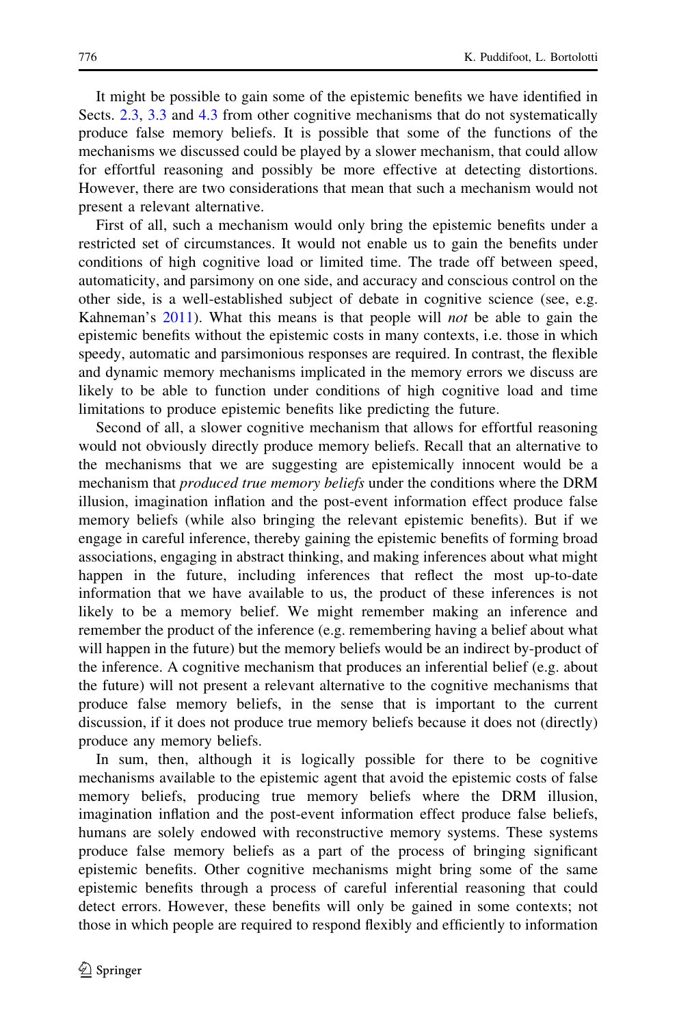It might be possible to gain some of the epistemic benefits we have identified in Sects. [2.3](#page-5-0), [3.3](#page-9-0) and [4.3](#page-12-0) from other cognitive mechanisms that do not systematically produce false memory beliefs. It is possible that some of the functions of the mechanisms we discussed could be played by a slower mechanism, that could allow for effortful reasoning and possibly be more effective at detecting distortions. However, there are two considerations that mean that such a mechanism would not present a relevant alternative.

First of all, such a mechanism would only bring the epistemic benefits under a restricted set of circumstances. It would not enable us to gain the benefits under conditions of high cognitive load or limited time. The trade off between speed, automaticity, and parsimony on one side, and accuracy and conscious control on the other side, is a well-established subject of debate in cognitive science (see, e.g. Kahneman's [2011\)](#page-25-0). What this means is that people will *not* be able to gain the epistemic benefits without the epistemic costs in many contexts, i.e. those in which speedy, automatic and parsimonious responses are required. In contrast, the flexible and dynamic memory mechanisms implicated in the memory errors we discuss are likely to be able to function under conditions of high cognitive load and time limitations to produce epistemic benefits like predicting the future.

Second of all, a slower cognitive mechanism that allows for effortful reasoning would not obviously directly produce memory beliefs. Recall that an alternative to the mechanisms that we are suggesting are epistemically innocent would be a mechanism that *produced true memory beliefs* under the conditions where the DRM illusion, imagination inflation and the post-event information effect produce false memory beliefs (while also bringing the relevant epistemic benefits). But if we engage in careful inference, thereby gaining the epistemic benefits of forming broad associations, engaging in abstract thinking, and making inferences about what might happen in the future, including inferences that reflect the most up-to-date information that we have available to us, the product of these inferences is not likely to be a memory belief. We might remember making an inference and remember the product of the inference (e.g. remembering having a belief about what will happen in the future) but the memory beliefs would be an indirect by-product of the inference. A cognitive mechanism that produces an inferential belief (e.g. about the future) will not present a relevant alternative to the cognitive mechanisms that produce false memory beliefs, in the sense that is important to the current discussion, if it does not produce true memory beliefs because it does not (directly) produce any memory beliefs.

In sum, then, although it is logically possible for there to be cognitive mechanisms available to the epistemic agent that avoid the epistemic costs of false memory beliefs, producing true memory beliefs where the DRM illusion, imagination inflation and the post-event information effect produce false beliefs, humans are solely endowed with reconstructive memory systems. These systems produce false memory beliefs as a part of the process of bringing significant epistemic benefits. Other cognitive mechanisms might bring some of the same epistemic benefits through a process of careful inferential reasoning that could detect errors. However, these benefits will only be gained in some contexts; not those in which people are required to respond flexibly and efficiently to information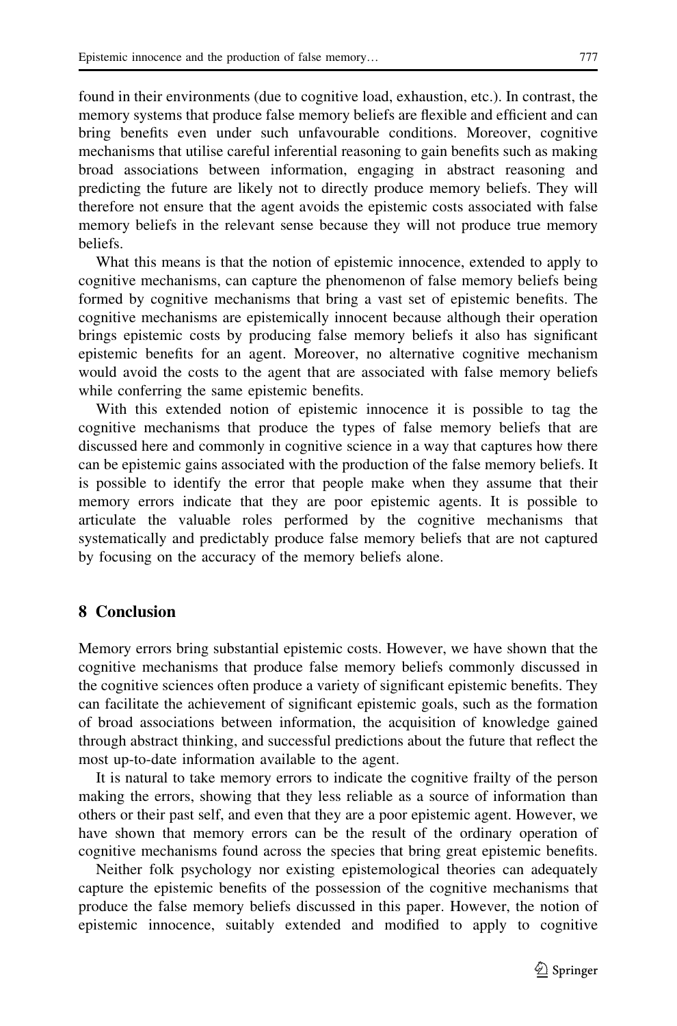found in their environments (due to cognitive load, exhaustion, etc.). In contrast, the memory systems that produce false memory beliefs are flexible and efficient and can bring benefits even under such unfavourable conditions. Moreover, cognitive mechanisms that utilise careful inferential reasoning to gain benefits such as making broad associations between information, engaging in abstract reasoning and predicting the future are likely not to directly produce memory beliefs. They will therefore not ensure that the agent avoids the epistemic costs associated with false memory beliefs in the relevant sense because they will not produce true memory beliefs.

What this means is that the notion of epistemic innocence, extended to apply to cognitive mechanisms, can capture the phenomenon of false memory beliefs being formed by cognitive mechanisms that bring a vast set of epistemic benefits. The cognitive mechanisms are epistemically innocent because although their operation brings epistemic costs by producing false memory beliefs it also has significant epistemic benefits for an agent. Moreover, no alternative cognitive mechanism would avoid the costs to the agent that are associated with false memory beliefs while conferring the same epistemic benefits.

With this extended notion of epistemic innocence it is possible to tag the cognitive mechanisms that produce the types of false memory beliefs that are discussed here and commonly in cognitive science in a way that captures how there can be epistemic gains associated with the production of the false memory beliefs. It is possible to identify the error that people make when they assume that their memory errors indicate that they are poor epistemic agents. It is possible to articulate the valuable roles performed by the cognitive mechanisms that systematically and predictably produce false memory beliefs that are not captured by focusing on the accuracy of the memory beliefs alone.

#### 8 Conclusion

Memory errors bring substantial epistemic costs. However, we have shown that the cognitive mechanisms that produce false memory beliefs commonly discussed in the cognitive sciences often produce a variety of significant epistemic benefits. They can facilitate the achievement of significant epistemic goals, such as the formation of broad associations between information, the acquisition of knowledge gained through abstract thinking, and successful predictions about the future that reflect the most up-to-date information available to the agent.

It is natural to take memory errors to indicate the cognitive frailty of the person making the errors, showing that they less reliable as a source of information than others or their past self, and even that they are a poor epistemic agent. However, we have shown that memory errors can be the result of the ordinary operation of cognitive mechanisms found across the species that bring great epistemic benefits.

Neither folk psychology nor existing epistemological theories can adequately capture the epistemic benefits of the possession of the cognitive mechanisms that produce the false memory beliefs discussed in this paper. However, the notion of epistemic innocence, suitably extended and modified to apply to cognitive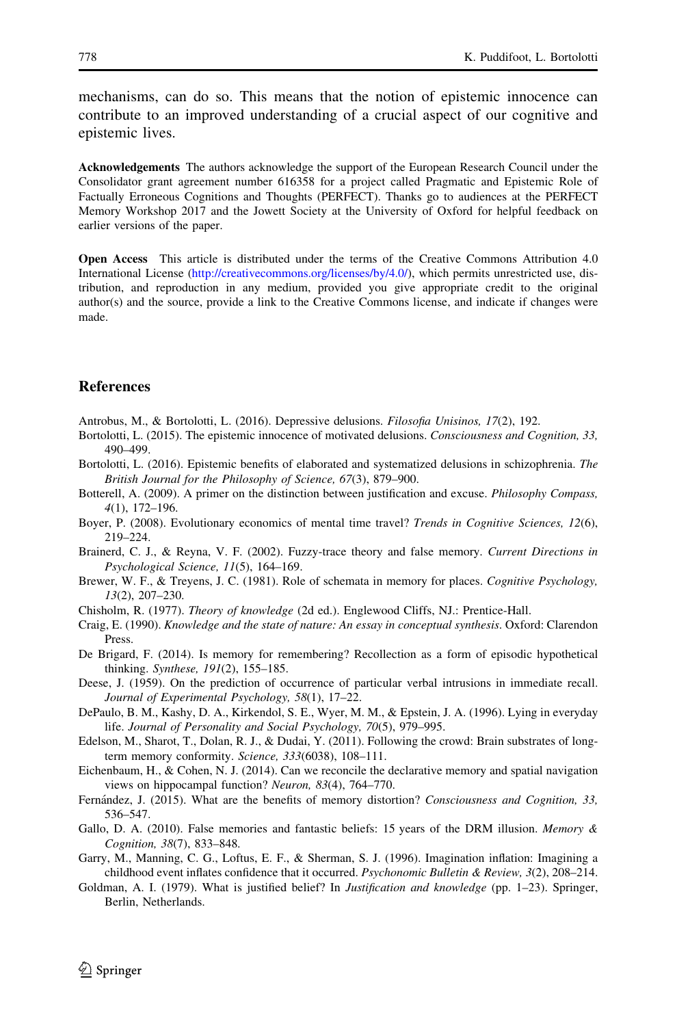<span id="page-24-0"></span>mechanisms, can do so. This means that the notion of epistemic innocence can contribute to an improved understanding of a crucial aspect of our cognitive and epistemic lives.

Acknowledgements The authors acknowledge the support of the European Research Council under the Consolidator grant agreement number 616358 for a project called Pragmatic and Epistemic Role of Factually Erroneous Cognitions and Thoughts (PERFECT). Thanks go to audiences at the PERFECT Memory Workshop 2017 and the Jowett Society at the University of Oxford for helpful feedback on earlier versions of the paper.

Open Access This article is distributed under the terms of the Creative Commons Attribution 4.0 International License ([http://creativecommons.org/licenses/by/4.0/\)](http://creativecommons.org/licenses/by/4.0/), which permits unrestricted use, distribution, and reproduction in any medium, provided you give appropriate credit to the original author(s) and the source, provide a link to the Creative Commons license, and indicate if changes were made.

#### **References**

- Antrobus, M., & Bortolotti, L. (2016). Depressive delusions. Filosofia Unisinos, 17(2), 192.
- Bortolotti, L. (2015). The epistemic innocence of motivated delusions. Consciousness and Cognition, 33, 490–499.
- Bortolotti, L. (2016). Epistemic benefits of elaborated and systematized delusions in schizophrenia. The British Journal for the Philosophy of Science, 67(3), 879–900.
- Botterell, A. (2009). A primer on the distinction between justification and excuse. Philosophy Compass, 4(1), 172–196.
- Boyer, P. (2008). Evolutionary economics of mental time travel? Trends in Cognitive Sciences, 12(6), 219–224.
- Brainerd, C. J., & Reyna, V. F. (2002). Fuzzy-trace theory and false memory. Current Directions in Psychological Science, 11(5), 164–169.
- Brewer, W. F., & Treyens, J. C. (1981). Role of schemata in memory for places. Cognitive Psychology, 13(2), 207–230.
- Chisholm, R. (1977). Theory of knowledge (2d ed.). Englewood Cliffs, NJ.: Prentice-Hall.
- Craig, E. (1990). Knowledge and the state of nature: An essay in conceptual synthesis. Oxford: Clarendon Press.
- De Brigard, F. (2014). Is memory for remembering? Recollection as a form of episodic hypothetical thinking. Synthese, 191(2), 155–185.
- Deese, J. (1959). On the prediction of occurrence of particular verbal intrusions in immediate recall. Journal of Experimental Psychology, 58(1), 17–22.
- DePaulo, B. M., Kashy, D. A., Kirkendol, S. E., Wyer, M. M., & Epstein, J. A. (1996). Lying in everyday life. Journal of Personality and Social Psychology, 70(5), 979–995.
- Edelson, M., Sharot, T., Dolan, R. J., & Dudai, Y. (2011). Following the crowd: Brain substrates of longterm memory conformity. Science, 333(6038), 108–111.
- Eichenbaum, H., & Cohen, N. J. (2014). Can we reconcile the declarative memory and spatial navigation views on hippocampal function? Neuron, 83(4), 764–770.
- Fernández, J. (2015). What are the benefits of memory distortion? Consciousness and Cognition, 33, 536–547.
- Gallo, D. A. (2010). False memories and fantastic beliefs: 15 years of the DRM illusion. Memory & Cognition, 38(7), 833–848.
- Garry, M., Manning, C. G., Loftus, E. F., & Sherman, S. J. (1996). Imagination inflation: Imagining a childhood event inflates confidence that it occurred. Psychonomic Bulletin & Review, 3(2), 208–214.
- Goldman, A. I. (1979). What is justified belief? In Justification and knowledge (pp. 1–23). Springer, Berlin, Netherlands.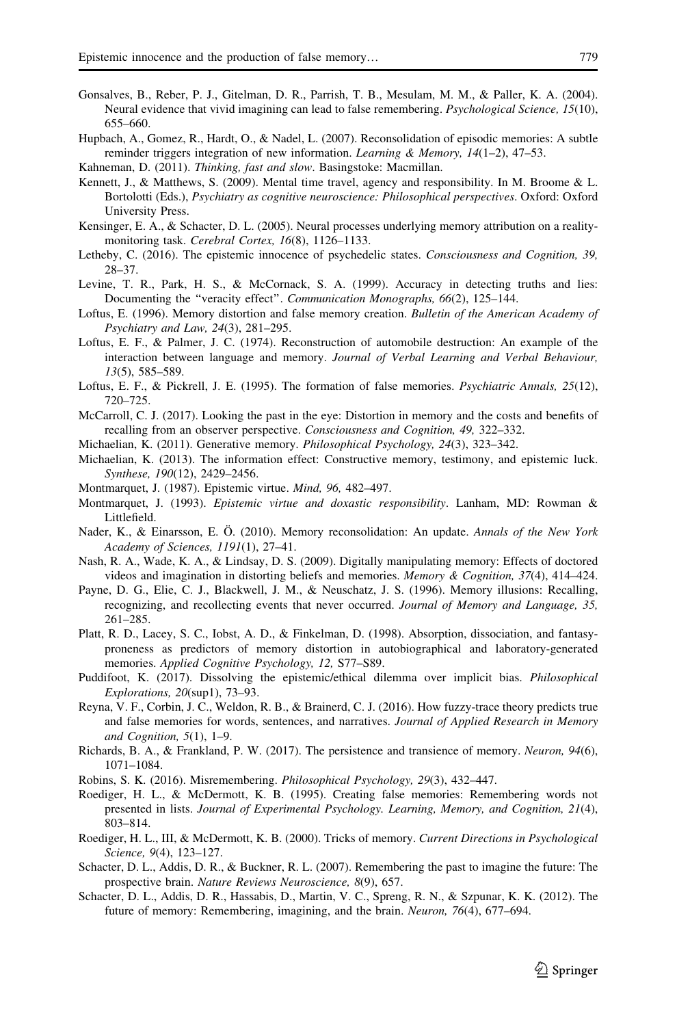- <span id="page-25-0"></span>Gonsalves, B., Reber, P. J., Gitelman, D. R., Parrish, T. B., Mesulam, M. M., & Paller, K. A. (2004). Neural evidence that vivid imagining can lead to false remembering. Psychological Science, 15(10), 655–660.
- Hupbach, A., Gomez, R., Hardt, O., & Nadel, L. (2007). Reconsolidation of episodic memories: A subtle reminder triggers integration of new information. Learning & Memory,  $14(1-2)$ ,  $47-53$ .

Kahneman, D. (2011). Thinking, fast and slow. Basingstoke: Macmillan.

- Kennett, J., & Matthews, S. (2009). Mental time travel, agency and responsibility. In M. Broome & L. Bortolotti (Eds.), Psychiatry as cognitive neuroscience: Philosophical perspectives. Oxford: Oxford University Press.
- Kensinger, E. A., & Schacter, D. L. (2005). Neural processes underlying memory attribution on a realitymonitoring task. Cerebral Cortex, 16(8), 1126–1133.
- Letheby, C. (2016). The epistemic innocence of psychedelic states. Consciousness and Cognition, 39, 28–37.
- Levine, T. R., Park, H. S., & McCornack, S. A. (1999). Accuracy in detecting truths and lies: Documenting the ''veracity effect''. Communication Monographs, 66(2), 125–144.
- Loftus, E. (1996). Memory distortion and false memory creation. Bulletin of the American Academy of Psychiatry and Law, 24(3), 281–295.
- Loftus, E. F., & Palmer, J. C. (1974). Reconstruction of automobile destruction: An example of the interaction between language and memory. Journal of Verbal Learning and Verbal Behaviour, 13(5), 585–589.
- Loftus, E. F., & Pickrell, J. E. (1995). The formation of false memories. *Psychiatric Annals*, 25(12), 720–725.
- McCarroll, C. J. (2017). Looking the past in the eye: Distortion in memory and the costs and benefits of recalling from an observer perspective. Consciousness and Cognition, 49, 322–332.
- Michaelian, K. (2011). Generative memory. Philosophical Psychology, 24(3), 323–342.
- Michaelian, K. (2013). The information effect: Constructive memory, testimony, and epistemic luck. Synthese, 190(12), 2429–2456.
- Montmarquet, J. (1987). Epistemic virtue. Mind, 96, 482–497.
- Montmarquet, J. (1993). Epistemic virtue and doxastic responsibility. Lanham, MD: Rowman & Littlefield.
- Nader, K., & Einarsson, E. Ö. (2010). Memory reconsolidation: An update. Annals of the New York Academy of Sciences, 1191(1), 27–41.
- Nash, R. A., Wade, K. A., & Lindsay, D. S. (2009). Digitally manipulating memory: Effects of doctored videos and imagination in distorting beliefs and memories. Memory & Cognition, 37(4), 414–424.
- Payne, D. G., Elie, C. J., Blackwell, J. M., & Neuschatz, J. S. (1996). Memory illusions: Recalling, recognizing, and recollecting events that never occurred. Journal of Memory and Language, 35, 261–285.
- Platt, R. D., Lacey, S. C., Iobst, A. D., & Finkelman, D. (1998). Absorption, dissociation, and fantasyproneness as predictors of memory distortion in autobiographical and laboratory-generated memories. Applied Cognitive Psychology, 12, S77–S89.
- Puddifoot, K. (2017). Dissolving the epistemic/ethical dilemma over implicit bias. Philosophical Explorations, 20(sup1), 73–93.
- Reyna, V. F., Corbin, J. C., Weldon, R. B., & Brainerd, C. J. (2016). How fuzzy-trace theory predicts true and false memories for words, sentences, and narratives. Journal of Applied Research in Memory and Cognition, 5(1), 1–9.
- Richards, B. A., & Frankland, P. W. (2017). The persistence and transience of memory. Neuron, 94(6), 1071–1084.
- Robins, S. K. (2016). Misremembering. Philosophical Psychology, 29(3), 432–447.
- Roediger, H. L., & McDermott, K. B. (1995). Creating false memories: Remembering words not presented in lists. Journal of Experimental Psychology. Learning, Memory, and Cognition, 21(4), 803–814.
- Roediger, H. L., III, & McDermott, K. B. (2000). Tricks of memory. Current Directions in Psychological Science, 9(4), 123–127.
- Schacter, D. L., Addis, D. R., & Buckner, R. L. (2007). Remembering the past to imagine the future: The prospective brain. Nature Reviews Neuroscience, 8(9), 657.
- Schacter, D. L., Addis, D. R., Hassabis, D., Martin, V. C., Spreng, R. N., & Szpunar, K. K. (2012). The future of memory: Remembering, imagining, and the brain. Neuron, 76(4), 677–694.